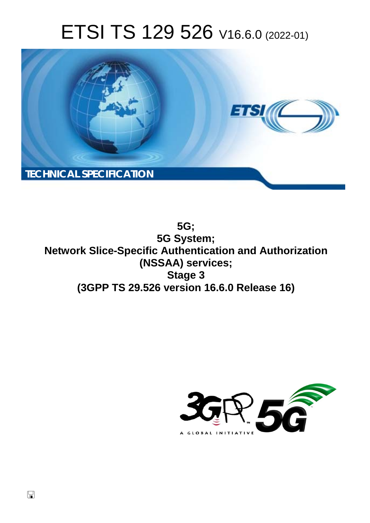# ETSI TS 129 526 V16.6.0 (2022-01)



**5G; 5G System; Network Slice-Specific Authentication and Authorization (NSSAA) services; Stage 3 (3GPP TS 29.526 version 16.6.0 Release 16)** 

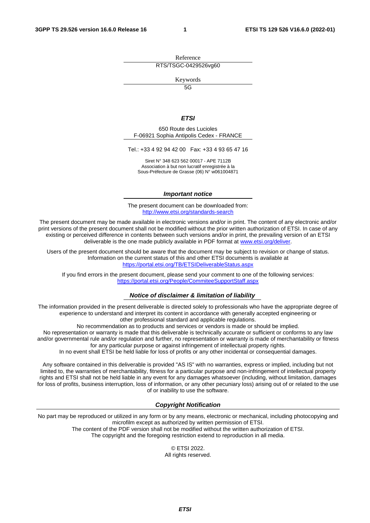Reference RTS/TSGC-0429526vg60

Keywords

 $\overline{5G}$ 

#### *ETSI*

650 Route des Lucioles F-06921 Sophia Antipolis Cedex - FRANCE

Tel.: +33 4 92 94 42 00 Fax: +33 4 93 65 47 16

Siret N° 348 623 562 00017 - APE 7112B Association à but non lucratif enregistrée à la Sous-Préfecture de Grasse (06) N° w061004871

#### *Important notice*

The present document can be downloaded from: <http://www.etsi.org/standards-search>

The present document may be made available in electronic versions and/or in print. The content of any electronic and/or print versions of the present document shall not be modified without the prior written authorization of ETSI. In case of any existing or perceived difference in contents between such versions and/or in print, the prevailing version of an ETSI deliverable is the one made publicly available in PDF format at [www.etsi.org/deliver](http://www.etsi.org/deliver).

Users of the present document should be aware that the document may be subject to revision or change of status. Information on the current status of this and other ETSI documents is available at <https://portal.etsi.org/TB/ETSIDeliverableStatus.aspx>

If you find errors in the present document, please send your comment to one of the following services: <https://portal.etsi.org/People/CommiteeSupportStaff.aspx>

#### *Notice of disclaimer & limitation of liability*

The information provided in the present deliverable is directed solely to professionals who have the appropriate degree of experience to understand and interpret its content in accordance with generally accepted engineering or other professional standard and applicable regulations.

No recommendation as to products and services or vendors is made or should be implied.

No representation or warranty is made that this deliverable is technically accurate or sufficient or conforms to any law and/or governmental rule and/or regulation and further, no representation or warranty is made of merchantability or fitness for any particular purpose or against infringement of intellectual property rights.

In no event shall ETSI be held liable for loss of profits or any other incidental or consequential damages.

Any software contained in this deliverable is provided "AS IS" with no warranties, express or implied, including but not limited to, the warranties of merchantability, fitness for a particular purpose and non-infringement of intellectual property rights and ETSI shall not be held liable in any event for any damages whatsoever (including, without limitation, damages for loss of profits, business interruption, loss of information, or any other pecuniary loss) arising out of or related to the use of or inability to use the software.

#### *Copyright Notification*

No part may be reproduced or utilized in any form or by any means, electronic or mechanical, including photocopying and microfilm except as authorized by written permission of ETSI. The content of the PDF version shall not be modified without the written authorization of ETSI.

The copyright and the foregoing restriction extend to reproduction in all media.

© ETSI 2022. All rights reserved.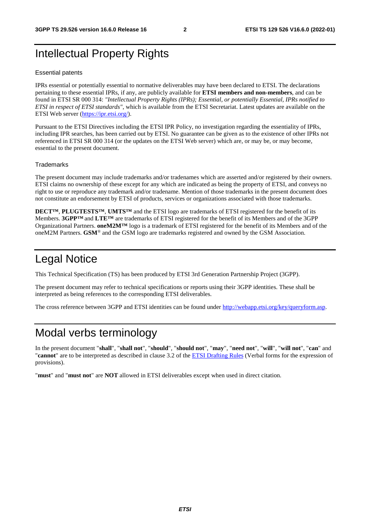# Intellectual Property Rights

#### Essential patents

IPRs essential or potentially essential to normative deliverables may have been declared to ETSI. The declarations pertaining to these essential IPRs, if any, are publicly available for **ETSI members and non-members**, and can be found in ETSI SR 000 314: *"Intellectual Property Rights (IPRs); Essential, or potentially Essential, IPRs notified to ETSI in respect of ETSI standards"*, which is available from the ETSI Secretariat. Latest updates are available on the ETSI Web server ([https://ipr.etsi.org/\)](https://ipr.etsi.org/).

Pursuant to the ETSI Directives including the ETSI IPR Policy, no investigation regarding the essentiality of IPRs, including IPR searches, has been carried out by ETSI. No guarantee can be given as to the existence of other IPRs not referenced in ETSI SR 000 314 (or the updates on the ETSI Web server) which are, or may be, or may become, essential to the present document.

#### **Trademarks**

The present document may include trademarks and/or tradenames which are asserted and/or registered by their owners. ETSI claims no ownership of these except for any which are indicated as being the property of ETSI, and conveys no right to use or reproduce any trademark and/or tradename. Mention of those trademarks in the present document does not constitute an endorsement by ETSI of products, services or organizations associated with those trademarks.

**DECT™**, **PLUGTESTS™**, **UMTS™** and the ETSI logo are trademarks of ETSI registered for the benefit of its Members. **3GPP™** and **LTE™** are trademarks of ETSI registered for the benefit of its Members and of the 3GPP Organizational Partners. **oneM2M™** logo is a trademark of ETSI registered for the benefit of its Members and of the oneM2M Partners. **GSM**® and the GSM logo are trademarks registered and owned by the GSM Association.

# Legal Notice

This Technical Specification (TS) has been produced by ETSI 3rd Generation Partnership Project (3GPP).

The present document may refer to technical specifications or reports using their 3GPP identities. These shall be interpreted as being references to the corresponding ETSI deliverables.

The cross reference between 3GPP and ETSI identities can be found under<http://webapp.etsi.org/key/queryform.asp>.

# Modal verbs terminology

In the present document "**shall**", "**shall not**", "**should**", "**should not**", "**may**", "**need not**", "**will**", "**will not**", "**can**" and "**cannot**" are to be interpreted as described in clause 3.2 of the [ETSI Drafting Rules](https://portal.etsi.org/Services/editHelp!/Howtostart/ETSIDraftingRules.aspx) (Verbal forms for the expression of provisions).

"**must**" and "**must not**" are **NOT** allowed in ETSI deliverables except when used in direct citation.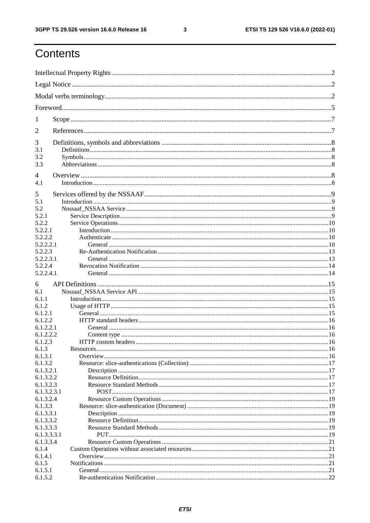$\mathbf{3}$ 

# Contents

| 1                        |  |
|--------------------------|--|
| 2                        |  |
| 3                        |  |
| 3.1                      |  |
| 3.2                      |  |
| 3.3                      |  |
| 4                        |  |
| 4.1                      |  |
| 5                        |  |
| 5.1                      |  |
| 5.2                      |  |
| 5.2.1                    |  |
| 5.2.2                    |  |
| 5.2.2.1<br>5.2.2.2       |  |
| 5.2.2.2.1                |  |
| 5.2.2.3                  |  |
| 5.2.2.3.1                |  |
| 5.2.2.4                  |  |
| 5.2.2.4.1                |  |
| 6                        |  |
| 6.1                      |  |
| 6.1.1                    |  |
| 6.1.2                    |  |
| 6.1.2.1                  |  |
| 6.1.2.2                  |  |
| 6.1.2.2.1<br>6.1.2.2.2   |  |
| 6.1.2.3                  |  |
| 6.1.3                    |  |
| 6.1.3.1                  |  |
| 6.1.3.2                  |  |
| 6.1.3.2.1                |  |
| 6.1.3.2.2                |  |
| 6.1.3.2.3<br>6.1.3.2.3.1 |  |
| 6.1.3.2.4                |  |
| 6.1.3.3                  |  |
| 6.1.3.3.1                |  |
| 6.1.3.3.2                |  |
| 6.1.3.3.3                |  |
| 6.1.3.3.3.1              |  |
| 6.1.3.3.4                |  |
| 6.1.4<br>6.1.4.1         |  |
| 6.1.5                    |  |
| 6.1.5.1                  |  |
| 6.1.5.2                  |  |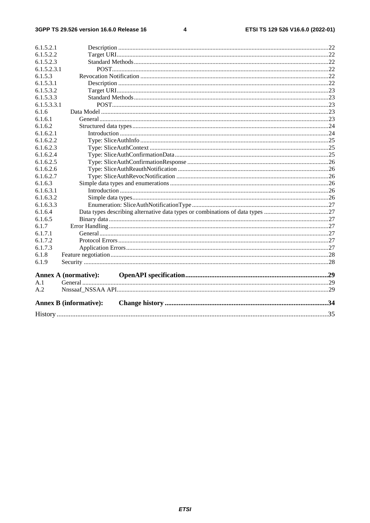#### $\overline{\mathbf{4}}$

| 6.1.5.2.1   |                               |  |
|-------------|-------------------------------|--|
| 6.1.5.2.2   |                               |  |
| 6.1.5.2.3   |                               |  |
| 6.1.5.2.3.1 |                               |  |
| 6.1.5.3     |                               |  |
| 6.1.5.3.1   |                               |  |
| 6.1.5.3.2   |                               |  |
| 6.1.5.3.3   |                               |  |
| 6.1.5.3.3.1 |                               |  |
| 6.1.6       |                               |  |
| 6.1.6.1     |                               |  |
| 6.1.6.2     |                               |  |
| 6.1.6.2.1   |                               |  |
| 6.1.6.2.2   |                               |  |
| 6.1.6.2.3   |                               |  |
| 6.1.6.2.4   |                               |  |
| 6.1.6.2.5   |                               |  |
| 6.1.6.2.6   |                               |  |
| 6.1.6.2.7   |                               |  |
| 6.1.6.3     |                               |  |
| 6.1.6.3.1   |                               |  |
| 6.1.6.3.2   |                               |  |
| 6.1.6.3.3   |                               |  |
| 6.1.6.4     |                               |  |
| 6.1.6.5     |                               |  |
| 6.1.7       |                               |  |
| 6.1.7.1     |                               |  |
| 6.1.7.2     |                               |  |
| 6.1.7.3     |                               |  |
| 6.1.8       |                               |  |
| 6.1.9       |                               |  |
|             | <b>Annex A (normative):</b>   |  |
| A.1         |                               |  |
| A.2         |                               |  |
|             |                               |  |
|             | <b>Annex B</b> (informative): |  |
|             |                               |  |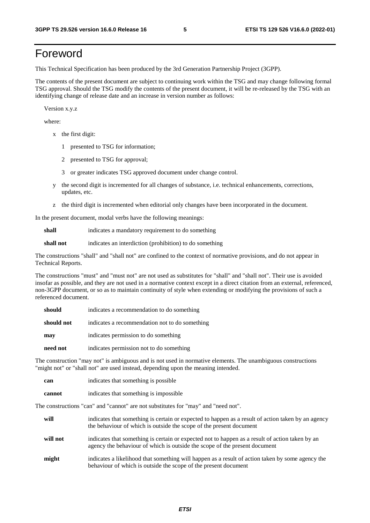# Foreword

This Technical Specification has been produced by the 3rd Generation Partnership Project (3GPP).

The contents of the present document are subject to continuing work within the TSG and may change following formal TSG approval. Should the TSG modify the contents of the present document, it will be re-released by the TSG with an identifying change of release date and an increase in version number as follows:

Version x.y.z

where:

- x the first digit:
	- 1 presented to TSG for information;
	- 2 presented to TSG for approval;
	- 3 or greater indicates TSG approved document under change control.
- y the second digit is incremented for all changes of substance, i.e. technical enhancements, corrections, updates, etc.
- z the third digit is incremented when editorial only changes have been incorporated in the document.

In the present document, modal verbs have the following meanings:

**shall** indicates a mandatory requirement to do something

**shall not** indicates an interdiction (prohibition) to do something

The constructions "shall" and "shall not" are confined to the context of normative provisions, and do not appear in Technical Reports.

The constructions "must" and "must not" are not used as substitutes for "shall" and "shall not". Their use is avoided insofar as possible, and they are not used in a normative context except in a direct citation from an external, referenced, non-3GPP document, or so as to maintain continuity of style when extending or modifying the provisions of such a referenced document.

| should     | indicates a recommendation to do something     |
|------------|------------------------------------------------|
| should not | indicates a recommendation not to do something |
| may        | indicates permission to do something           |
| need not   | indicates permission not to do something       |

The construction "may not" is ambiguous and is not used in normative elements. The unambiguous constructions "might not" or "shall not" are used instead, depending upon the meaning intended.

| can    | indicates that something is possible   |
|--------|----------------------------------------|
| cannot | indicates that something is impossible |

The constructions "can" and "cannot" are not substitutes for "may" and "need not".

| will     | indicates that something is certain or expected to happen as a result of action taken by an agency<br>the behaviour of which is outside the scope of the present document     |
|----------|-------------------------------------------------------------------------------------------------------------------------------------------------------------------------------|
| will not | indicates that something is certain or expected not to happen as a result of action taken by an<br>agency the behaviour of which is outside the scope of the present document |
| might    | indicates a likelihood that something will happen as a result of action taken by some agency the<br>behaviour of which is outside the scope of the present document           |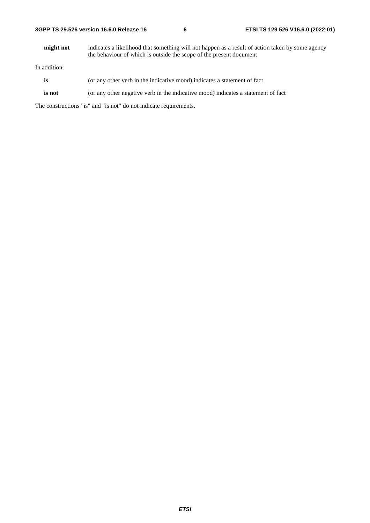| 3GPP TS 29.526 version 16.6.0 Release 16 |  |
|------------------------------------------|--|
|------------------------------------------|--|

**might not** indicates a likelihood that something will not happen as a result of action taken by some agency the behaviour of which is outside the scope of the present document

In addition:

- is (or any other verb in the indicative mood) indicates a statement of fact
- **is not** (or any other negative verb in the indicative mood) indicates a statement of fact

The constructions "is" and "is not" do not indicate requirements.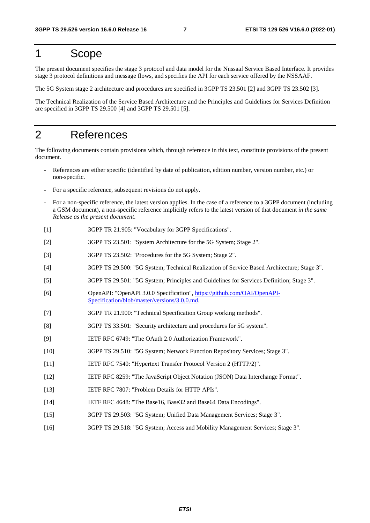# 1 Scope

The present document specifies the stage 3 protocol and data model for the Nnssaaf Service Based Interface. It provides stage 3 protocol definitions and message flows, and specifies the API for each service offered by the NSSAAF.

The 5G System stage 2 architecture and procedures are specified in 3GPP TS 23.501 [2] and 3GPP TS 23.502 [3].

The Technical Realization of the Service Based Architecture and the Principles and Guidelines for Services Definition are specified in 3GPP TS 29.500 [4] and 3GPP TS 29.501 [5].

# 2 References

The following documents contain provisions which, through reference in this text, constitute provisions of the present document.

- References are either specific (identified by date of publication, edition number, version number, etc.) or non-specific.
- For a specific reference, subsequent revisions do not apply.
- For a non-specific reference, the latest version applies. In the case of a reference to a 3GPP document (including a GSM document), a non-specific reference implicitly refers to the latest version of that document *in the same Release as the present document*.
- [1] 3GPP TR 21.905: "Vocabulary for 3GPP Specifications".
- [2] 3GPP TS 23.501: "System Architecture for the 5G System; Stage 2".
- [3] 3GPP TS 23.502: "Procedures for the 5G System; Stage 2".
- [4] 3GPP TS 29.500: "5G System; Technical Realization of Service Based Architecture; Stage 3".
- [5] 3GPP TS 29.501: "5G System; Principles and Guidelines for Services Definition; Stage 3".
- [6] OpenAPI: "OpenAPI 3.0.0 Specification", [https://github.com/OAI/OpenAPI](https://github.com/OAI/OpenAPI-Specification/blob/master/versions/3.0.0.md)-[Specification/blob/master/versions/3.0.0.md](https://github.com/OAI/OpenAPI-Specification/blob/master/versions/3.0.0.md).
- [7] 3GPP TR 21.900: "Technical Specification Group working methods".
- [8] 3GPP TS 33.501: "Security architecture and procedures for 5G system".
- [9] IETF RFC 6749: "The OAuth 2.0 Authorization Framework".
- [10] 3GPP TS 29.510: "5G System; Network Function Repository Services; Stage 3".
- [11] IETF RFC 7540: "Hypertext Transfer Protocol Version 2 (HTTP/2)".
- [12] IETF RFC 8259: "The JavaScript Object Notation (JSON) Data Interchange Format".
- [13] IETF RFC 7807: "Problem Details for HTTP APIs".
- [14] IETF RFC 4648: "The Base16, Base32 and Base64 Data Encodings".
- [15] 3GPP TS 29.503: "5G System; Unified Data Management Services; Stage 3".
- [16] 3GPP TS 29.518: "5G System; Access and Mobility Management Services; Stage 3".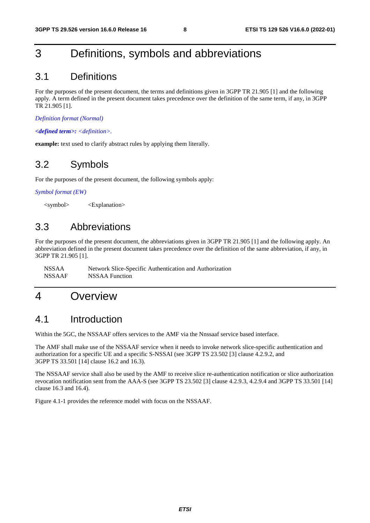# 3 Definitions, symbols and abbreviations

# 3.1 Definitions

For the purposes of the present document, the terms and definitions given in 3GPP TR 21.905 [1] and the following apply. A term defined in the present document takes precedence over the definition of the same term, if any, in 3GPP TR 21.905 [1].

*Definition format (Normal)* 

*<defined term>: <definition>.* 

**example:** text used to clarify abstract rules by applying them literally.

# 3.2 Symbols

For the purposes of the present document, the following symbols apply:

*Symbol format (EW)* 

<symbol> <Explanation>

# 3.3 Abbreviations

For the purposes of the present document, the abbreviations given in 3GPP TR 21.905 [1] and the following apply. An abbreviation defined in the present document takes precedence over the definition of the same abbreviation, if any, in 3GPP TR 21.905 [1].

NSSAA Network Slice-Specific Authentication and Authorization NSSAAF NSSAA Function

# 4 Overview

# 4.1 Introduction

Within the 5GC, the NSSAAF offers services to the AMF via the Nnssaaf service based interface.

The AMF shall make use of the NSSAAF service when it needs to invoke network slice-specific authentication and authorization for a specific UE and a specific S-NSSAI (see 3GPP TS 23.502 [3] clause 4.2.9.2, and 3GPP TS 33.501 [14] clause 16.2 and 16.3).

The NSSAAF service shall also be used by the AMF to receive slice re-authentication notification or slice authorization revocation notification sent from the AAA-S (see 3GPP TS 23.502 [3] clause 4.2.9.3, 4.2.9.4 and 3GPP TS 33.501 [14] clause 16.3 and 16.4).

Figure 4.1-1 provides the reference model with focus on the NSSAAF.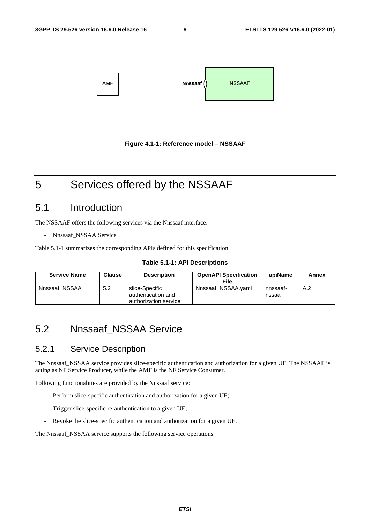



# 5 Services offered by the NSSAAF

# 5.1 Introduction

The NSSAAF offers the following services via the Nnssaaf interface:

Nnssaaf\_NSSAA Service

Table 5.1-1 summarizes the corresponding APIs defined for this specification.

#### **Table 5.1-1: API Descriptions**

| <b>Service Name</b> | <b>Clause</b> | <b>Description</b>                                            | <b>OpenAPI Specification</b><br>File | apiName           | Annex |
|---------------------|---------------|---------------------------------------------------------------|--------------------------------------|-------------------|-------|
| Nnssaaf NSSAA       | 5.2           | slice-Specific<br>authentication and<br>authorization service | Nnssaaf NSSAA.yaml                   | nnssaaf-<br>nssaa | A.2   |

# 5.2 Nnssaaf\_NSSAA Service

# 5.2.1 Service Description

The Nnssaaf\_NSSAA service provides slice-specific authentication and authorization for a given UE. The NSSAAF is acting as NF Service Producer, while the AMF is the NF Service Consumer.

Following functionalities are provided by the Nnssaaf service:

- Perform slice-specific authentication and authorization for a given UE;
- Trigger slice-specific re-authentication to a given UE;
- Revoke the slice-specific authentication and authorization for a given UE.

The Nnssaaf\_NSSAA service supports the following service operations.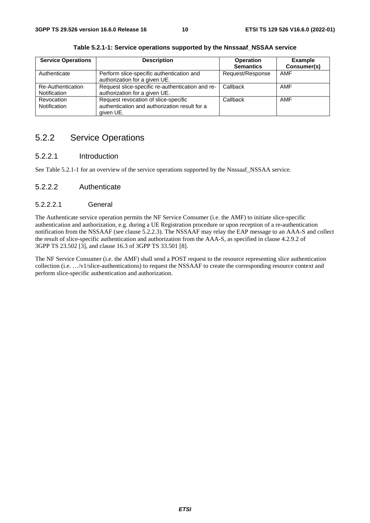| <b>Service Operations</b>         | <b>Description</b>                                                                                 | <b>Operation</b><br><b>Semantics</b> | <b>Example</b><br>Consumer(s) |
|-----------------------------------|----------------------------------------------------------------------------------------------------|--------------------------------------|-------------------------------|
| Authenticate                      | Perform slice-specific authentication and<br>authorization for a given UE.                         | Request/Response                     | <b>AMF</b>                    |
| Re-Authentication<br>Notification | Request slice-specific re-authentication and re-<br>authorization for a given UE.                  | Callback                             | <b>AMF</b>                    |
| Revocation<br>Notification        | Request revocation of slice-specific<br>authentication and authorization result for a<br>given UE. | Callback                             | <b>AMF</b>                    |

**Table 5.2.1-1: Service operations supported by the Nnssaaf\_NSSAA service** 

# 5.2.2 Service Operations

## 5.2.2.1 Introduction

See Table 5.2.1-1 for an overview of the service operations supported by the Nnssaaf\_NSSAA service.

### 5.2.2.2 Authenticate

### 5.2.2.2.1 General

The Authenticate service operation permits the NF Service Consumer (i.e. the AMF) to initiate slice-specific authentication and authorization, e.g. during a UE Registration procedure or upon reception of a re-authentication notification from the NSSAAF (see clause 5.2.2.3). The NSSAAF may relay the EAP message to an AAA-S and collect the result of slice-specific authentication and authorization from the AAA-S, as specified in clause 4.2.9.2 of 3GPP TS 23.502 [3], and clause 16.3 of 3GPP TS 33.501 [8].

The NF Service Consumer (i.e. the AMF) shall send a POST request to the resource representing slice authentication collection (i.e. …/v1/slice-authentications) to request the NSSAAF to create the corresponding resource context and perform slice-specific authentication and authorization.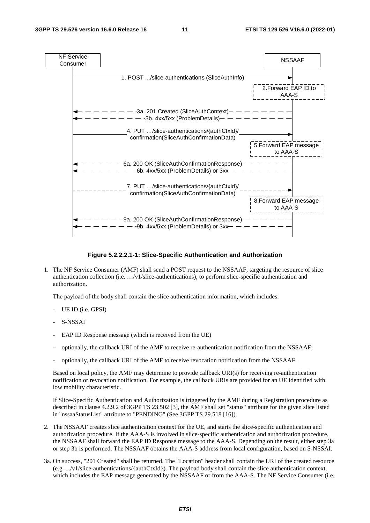

#### **Figure 5.2.2.2.1-1: Slice-Specific Authentication and Authorization**

1. The NF Service Consumer (AMF) shall send a POST request to the NSSAAF, targeting the resource of slice authentication collection (i.e. …/v1/slice-authentications), to perform slice-specific authentication and authorization.

The payload of the body shall contain the slice authentication information, which includes:

- UE ID (i.e. GPSI)
- S-NSSAI
- EAP ID Response message (which is received from the UE)
- optionally, the callback URI of the AMF to receive re-authentication notification from the NSSAAF;
- optionally, the callback URI of the AMF to receive revocation notification from the NSSAAF.

Based on local policy, the AMF may determine to provide callback URI(s) for receiving re-authentication notification or revocation notification. For example, the callback URIs are provided for an UE identified with low mobility characteristic.

If Slice-Specific Authentication and Authorization is triggered by the AMF during a Registration procedure as described in clause 4.2.9.2 of 3GPP TS 23.502 [3], the AMF shall set "status" attribute for the given slice listed in "nssaaStatusList" attribute to "PENDING" (See 3GPP TS 29.518 [16]).

- 2. The NSSAAF creates slice authentication context for the UE, and starts the slice-specific authentication and authorization procedure. If the AAA-S is involved in slice-specific authentication and authorization procedure, the NSSAAF shall forward the EAP ID Response message to the AAA-S. Depending on the result, either step 3a or step 3b is performed. The NSSAAF obtains the AAA-S address from local configuration, based on S-NSSAI.
- 3a. On success, "201 Created" shall be returned. The "Location" header shall contain the URI of the created resource (e.g. .../v1/slice-authentications/{authCtxId}). The payload body shall contain the slice authentication context, which includes the EAP message generated by the NSSAAF or from the AAA-S. The NF Service Consumer (i.e.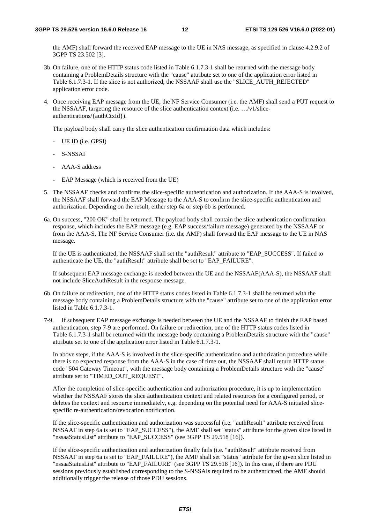the AMF) shall forward the received EAP message to the UE in NAS message, as specified in clause 4.2.9.2 of 3GPP TS 23.502 [3].

- 3b. On failure, one of the HTTP status code listed in Table 6.1.7.3-1 shall be returned with the message body containing a ProblemDetails structure with the "cause" attribute set to one of the application error listed in Table 6.1.7.3-1. If the slice is not authorized, the NSSAAF shall use the "SLICE\_AUTH\_REJECTED" application error code.
- 4. Once receiving EAP message from the UE, the NF Service Consumer (i.e. the AMF) shall send a PUT request to the NSSAAF, targeting the resource of the slice authentication context (i.e. …/v1/sliceauthentications/{authCtxId}).

The payload body shall carry the slice authentication confirmation data which includes:

- UE ID (i.e. GPSI)
- S-NSSAI
- AAA-S address
- EAP Message (which is received from the UE)
- 5. The NSSAAF checks and confirms the slice-specific authentication and authorization. If the AAA-S is involved, the NSSAAF shall forward the EAP Message to the AAA-S to confirm the slice-specific authentication and authorization. Depending on the result, either step 6a or step 6b is performed.
- 6a. On success, "200 OK" shall be returned. The payload body shall contain the slice authentication confirmation response, which includes the EAP message (e.g. EAP success/failure message) generated by the NSSAAF or from the AAA-S. The NF Service Consumer (i.e. the AMF) shall forward the EAP message to the UE in NAS message.

If the UE is authenticated, the NSSAAF shall set the "authResult" attribute to "EAP\_SUCCESS". If failed to authenticate the UE, the "authResult" attribute shall be set to "EAP\_FAILURE".

If subsequent EAP message exchange is needed between the UE and the NSSAAF(AAA-S), the NSSAAF shall not include SliceAuthResult in the response message.

- 6b. On failure or redirection, one of the HTTP status codes listed in Table 6.1.7.3-1 shall be returned with the message body containing a ProblemDetails structure with the "cause" attribute set to one of the application error listed in Table 6.1.7.3-1.
- 7-9. If subsequent EAP message exchange is needed between the UE and the NSSAAF to finish the EAP based authentication, step 7-9 are performed. On failure or redirection, one of the HTTP status codes listed in Table 6.1.7.3-1 shall be returned with the message body containing a ProblemDetails structure with the "cause" attribute set to one of the application error listed in Table 6.1.7.3-1.

In above steps, if the AAA-S is involved in the slice-specific authentication and authorization procedure while there is no expected response from the AAA-S in the case of time out, the NSSAAF shall return HTTP status code "504 Gateway Timeout", with the message body containing a ProblemDetails structure with the "cause" attribute set to "TIMED\_OUT\_REQUEST".

After the completion of slice-specific authentication and authorization procedure, it is up to implementation whether the NSSAAF stores the slice authentication context and related resources for a configured period, or deletes the context and resource immediately, e.g. depending on the potential need for AAA-S initiated slicespecific re-authentication/revocation notification.

If the slice-specific authentication and authorization was successful (i.e. "authResult" attribute received from NSSAAF in step 6a is set to "EAP\_SUCCESS"), the AMF shall set "status" attribute for the given slice listed in "nssaaStatusList" attribute to "EAP\_SUCCESS" (see 3GPP TS 29.518 [16]).

If the slice-specific authentication and authorization finally fails (i.e. "authResult" attribute received from NSSAAF in step 6a is set to "EAP\_FAILURE"), the AMF shall set "status" attribute for the given slice listed in "nssaaStatusList" attribute to "EAP\_FAILURE" (see 3GPP TS 29.518 [16]). In this case, if there are PDU sessions previously established corresponding to the S-NSSAIs required to be authenticated, the AMF should additionally trigger the release of those PDU sessions.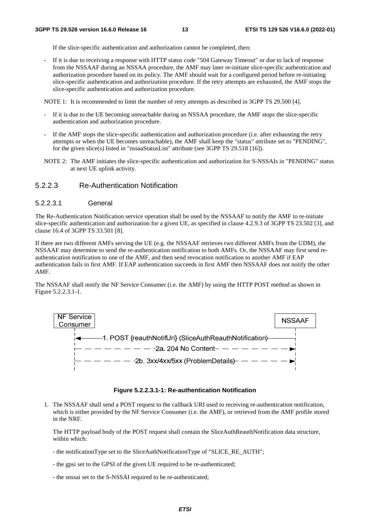If the slice-specific authentication and authorization cannot be completed, then:

- If it is due to receiving a response with HTTP status code "504 Gateway Timeout" or due to lack of response from the NSSAAF during an NSSAA procedure, the AMF may later re-initiate slice-specific authentication and authorization procedure based on its policy. The AMF should wait for a configured period before re-initiating slice-specific authentication and authorization procedure. If the retry attempts are exhausted, the AMF stops the slice-specific authentication and authorization procedure.

NOTE 1: It is recommended to limit the number of retry attempts as described in 3GPP TS 29.500 [4].

- If it is due to the UE becoming unreachable during an NSSAA procedure, the AMF stops the slice-specific authentication and authorization procedure.
- If the AMF stops the slice-specific authentication and authorization procedure (i.e. after exhausting the retry attempts or when the UE becomes unreachable), the AMF shall keep the "status" attribute set to "PENDING", for the given slice(s) listed in "nssaaStatusList" attribute (see 3GPP TS 29.518 [16]).
- NOTE 2: The AMF initiates the slice-specific authentication and authorization for S-NSSAIs in "PENDING" status at next UE uplink activity.

#### 5.2.2.3 Re-Authentication Notification

#### 5.2.2.3.1 General

The Re-Authentication Notification service operation shall be used by the NSSAAF to notify the AMF to re-initiate slice-specific authentication and authorization for a given UE, as specified in clause 4.2.9.3 of 3GPP TS 23.502 [3], and clause 16.4 of 3GPP TS 33.501 [8].

If there are two different AMFs serving the UE (e.g. the NSSAAF retrieves two different AMFs from the UDM), the NSSAAF may determine to send the re-authentication notification to both AMFs. Or, the NSSAAF may first send reauthentication notification to one of the AMF, and then send revocation notification to another AMF if EAP authentication fails in first AMF. If EAP authentication succeeds in first AMF then NSSAAF does not notify the other AMF.

The NSSAAF shall notify the NF Service Consumer (i.e. the AMF) by using the HTTP POST method as shown in Figure 5.2.2.3.1-1.



#### **Figure 5.2.2.3.1-1: Re-authentication Notification**

1. The NSSAAF shall send a POST request to the callback URI used to receiving re-authentication notification, which is either provided by the NF Service Consumer (i.e. the AMF), or retrieved from the AMF profile stored in the NRF.

 The HTTP payload body of the POST request shall contain the SliceAuthReauthNotification data structure, within which:

- the notificationType set to the SliceAuthNotificationType of "SLICE\_RE\_AUTH";
- the gpsi set to the GPSI of the given UE required to be re-authenticated;
- the snssai set to the S-NSSAI required to be re-authenticated;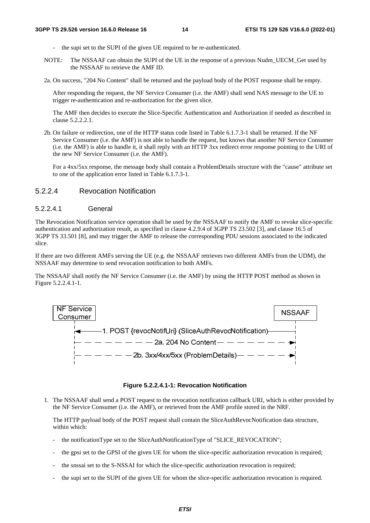- the supi set to the SUPI of the given UE required to be re-authenticated.
- NOTE: The NSSAAF can obtain the SUPI of the UE in the response of a previous Nudm\_UECM\_Get used by the NSSAAF to retrieve the AMF ID.
- 2a. On success, "204 No Content" shall be returned and the payload body of the POST response shall be empty.

After responding the request, the NF Service Consumer (i.e. the AMF) shall send NAS message to the UE to trigger re-authentication and re-authorization for the given slice.

The AMF then decides to execute the Slice-Specific Authentication and Authorization if needed as described in clause 5.2.2.2.1.

2b. On failure or redirection, one of the HTTP status code listed in Table 6.1.7.3-1 shall be returned. If the NF Service Consumer (i.e. the AMF) is not able to handle the request, but knows that another NF Service Consumer (i.e. the AMF) is able to handle it, it shall reply with an HTTP 3xx redirect error response pointing to the URI of the new NF Service Consumer (i.e. the AMF).

For a 4xx/5xx response, the message body shall contain a ProblemDetails structure with the "cause" attribute set to one of the application error listed in Table 6.1.7.3-1.

#### 5.2.2.4 Revocation Notification

#### 5.2.2.4.1 General

The Revocation Notification service operation shall be used by the NSSAAF to notify the AMF to revoke slice-specific authentication and authorization result, as specified in clause 4.2.9.4 of 3GPP TS 23.502 [3], and clause 16.5 of 3GPP TS 33.501 [8], and may trigger the AMF to release the corresponding PDU sessions associated to the indicated slice.

If there are two different AMFs serving the UE (e.g. the NSSAAF retrieves two different AMFs from the UDM), the NSSAAF may determine to send revocation notification to both AMFs.

The NSSAAF shall notify the NF Service Consumer (i.e. the AMF) by using the HTTP POST method as shown in Figure 5.2.2.4.1-1.





1. The NSSAAF shall send a POST request to the revocation notification callback URI, which is either provided by the NF Service Consumer (i.e. the AMF), or retrieved from the AMF profile stored in the NRF.

 The HTTP payload body of the POST request shall contain the SliceAuthRevocNotification data structure, within which:

- the notificationType set to the SliceAuthNotificationType of "SLICE\_REVOCATION";
- the gpsi set to the GPSI of the given UE for whom the slice-specific authorization revocation is required;
- the snssai set to the S-NSSAI for which the slice-specific authorization revocation is required;
- the supi set to the SUPI of the given UE for whom the slice-specific authorization revocation is required.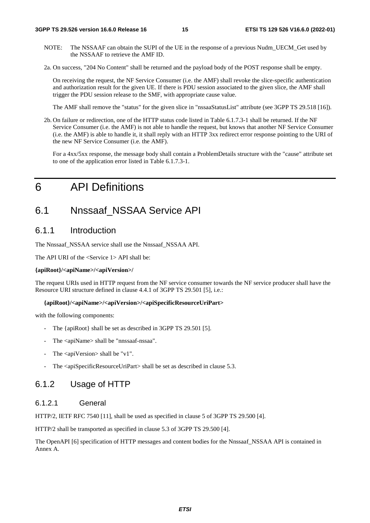- NOTE: The NSSAAF can obtain the SUPI of the UE in the response of a previous Nudm\_UECM\_Get used by the NSSAAF to retrieve the AMF ID.
- 2a. On success, "204 No Content" shall be returned and the payload body of the POST response shall be empty.

On receiving the request, the NF Service Consumer (i.e. the AMF) shall revoke the slice-specific authentication and authorization result for the given UE. If there is PDU session associated to the given slice, the AMF shall trigger the PDU session release to the SMF, with appropriate cause value.

The AMF shall remove the "status" for the given slice in "nssaaStatusList" attribute (see 3GPP TS 29.518 [16]).

2b. On failure or redirection, one of the HTTP status code listed in Table 6.1.7.3-1 shall be returned. If the NF Service Consumer (i.e. the AMF) is not able to handle the request, but knows that another NF Service Consumer (i.e. the AMF) is able to handle it, it shall reply with an HTTP 3xx redirect error response pointing to the URI of the new NF Service Consumer (i.e. the AMF).

For a 4xx/5xx response, the message body shall contain a ProblemDetails structure with the "cause" attribute set to one of the application error listed in Table 6.1.7.3-1.

# 6 API Definitions

# 6.1 Nnssaaf\_NSSAA Service API

## 6.1.1 Introduction

The Nnssaaf\_NSSAA service shall use the Nnssaaf\_NSSAA API.

The API URI of the <Service 1> API shall be:

#### **{apiRoot}/<apiName>/<apiVersion>/**

The request URIs used in HTTP request from the NF service consumer towards the NF service producer shall have the Resource URI structure defined in clause 4.4.1 of 3GPP TS 29.501 [5], i.e.:

#### **{apiRoot}/<apiName>/<apiVersion>/<apiSpecificResourceUriPart>**

with the following components:

- The {apiRoot} shall be set as described in 3GPP TS 29.501 [5].
- The <apiName> shall be "nnssaaf-nssaa".
- The  $\langle$ apiVersion $>$ shall be "v1".
- The <apiSpecificResourceUriPart> shall be set as described in clause 5.3.

### 6.1.2 Usage of HTTP

#### 6.1.2.1 General

HTTP/2, IETF RFC 7540 [11], shall be used as specified in clause 5 of 3GPP TS 29.500 [4].

HTTP/2 shall be transported as specified in clause 5.3 of 3GPP TS 29.500 [4].

The OpenAPI [6] specification of HTTP messages and content bodies for the Nnssaaf\_NSSAA API is contained in Annex A.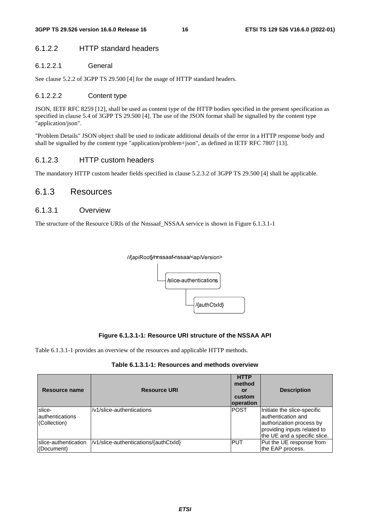#### 6.1.2.2 HTTP standard headers

#### 6.1.2.2.1 General

See clause 5.2.2 of 3GPP TS 29.500 [4] for the usage of HTTP standard headers.

#### 6.1.2.2.2 Content type

JSON, IETF RFC 8259 [12], shall be used as content type of the HTTP bodies specified in the present specification as specified in clause 5.4 of 3GPP TS 29.500 [4]. The use of the JSON format shall be signalled by the content type "application/json".

"Problem Details" JSON object shall be used to indicate additional details of the error in a HTTP response body and shall be signalled by the content type "application/problem+json", as defined in IETF RFC 7807 [13].

#### 6.1.2.3 HTTP custom headers

The mandatory HTTP custom header fields specified in clause 5.2.3.2 of 3GPP TS 29.500 [4] shall be applicable.

### 6.1.3 Resources

#### 6.1.3.1 Overview

The structure of the Resource URIs of the Nnssaaf\_NSSAA service is shown in Figure 6.1.3.1-1

#### //{apiRoot}/nnssaaf-nssaa/<apiVersion>



#### **Figure 6.1.3.1-1: Resource URI structure of the NSSAA API**

Table 6.1.3.1-1 provides an overview of the resources and applicable HTTP methods.

|  |  | Table 6.1.3.1-1: Resources and methods overview |
|--|--|-------------------------------------------------|
|--|--|-------------------------------------------------|

| Resource name                              | <b>Resource URI</b>                   | <b>HTTP</b><br>method<br>or<br>custom<br><b>loperation</b> | <b>Description</b>                                                                                                                            |
|--------------------------------------------|---------------------------------------|------------------------------------------------------------|-----------------------------------------------------------------------------------------------------------------------------------------------|
| slice-<br>lauthentications<br>(Collection) | /v1/slice-authentications             | <b>POST</b>                                                | Initiate the slice-specific<br>lauthentication and<br>authorization process by<br>providing inputs related to<br>the UE and a specific slice. |
| slice-authentication<br>(Document)         | /v1/slice-authentications/{authCtxld} | IPUT                                                       | Put the UE response from<br>the EAP process.                                                                                                  |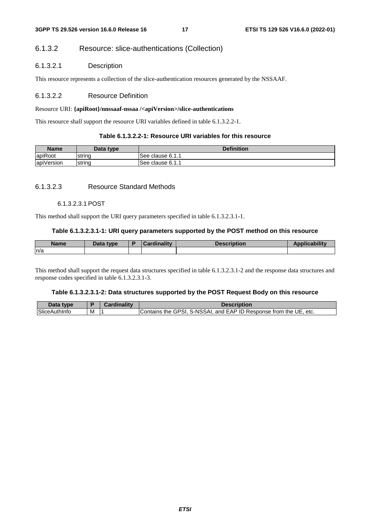#### 6.1.3.2 Resource: slice-authentications (Collection)

#### 6.1.3.2.1 Description

This resource represents a collection of the slice-authentication resources generated by the NSSAAF.

#### 6.1.3.2.2 Resource Definition

#### Resource URI: **{apiRoot}/nnssaaf-nssaa /<apiVersion>/slice-authentications**

This resource shall support the resource URI variables defined in table 6.1.3.2.2-1.

#### **Table 6.1.3.2.2-1: Resource URI variables for this resource**

| <b>Name</b> | Data type | <b>Definition</b> |
|-------------|-----------|-------------------|
| lapiRoot    | Istrina   | lSee clause 6.1.1 |
| apiVersion  | string    | See clause 6.1.1  |

#### 6.1.3.2.3 Resource Standard Methods

#### 6.1.3.2.3.1 POST

This method shall support the URI query parameters specified in table 6.1.3.2.3.1-1.

#### **Table 6.1.3.2.3.1-1: URI query parameters supported by the POST method on this resource**

| <b>Name</b> | Data type | Cardinalitv | <b>Description</b> | <b>Applicability</b> |
|-------------|-----------|-------------|--------------------|----------------------|
| ln/a        |           |             |                    |                      |

This method shall support the request data structures specified in table 6.1.3.2.3.1-2 and the response data structures and response codes specified in table 6.1.3.2.3.1-3.

#### **Table 6.1.3.2.3.1-2: Data structures supported by the POST Request Body on this resource**

| Data type            |   | Cardinalitv | <b>Description</b>                                                |
|----------------------|---|-------------|-------------------------------------------------------------------|
| <b>SliceAuthInfo</b> | M |             | Contains the GPSI, S-NSSAI, and EAP ID Response from the UE, etc. |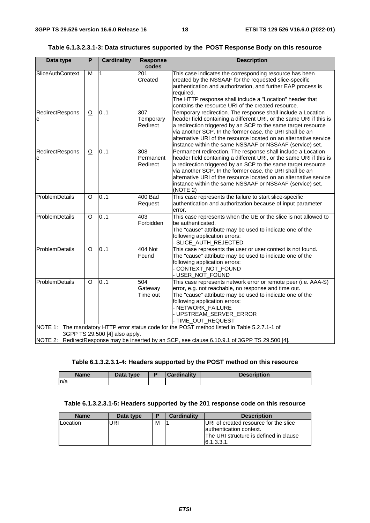|  | Table 6.1.3.2.3.1-3: Data structures supported by the  POST Response Body on this resource |  |
|--|--------------------------------------------------------------------------------------------|--|
|  |                                                                                            |  |

| Data type            | $\overline{P}$                                                                                 | <b>Cardinality</b>             | <b>Response</b>              | <b>Description</b>                                                                                                                                                                                                                                                                                                                                                                                            |  |  |  |  |
|----------------------|------------------------------------------------------------------------------------------------|--------------------------------|------------------------------|---------------------------------------------------------------------------------------------------------------------------------------------------------------------------------------------------------------------------------------------------------------------------------------------------------------------------------------------------------------------------------------------------------------|--|--|--|--|
|                      |                                                                                                |                                | codes                        |                                                                                                                                                                                                                                                                                                                                                                                                               |  |  |  |  |
| SliceAuthContext     | M                                                                                              | $\mathbf{1}$                   | $\overline{201}$<br>Created  | This case indicates the corresponding resource has been<br>created by the NSSAAF for the requested slice-specific<br>authentication and authorization, and further EAP process is<br>required.<br>The HTTP response shall include a "Location" header that<br>contains the resource URI of the created resource.                                                                                              |  |  |  |  |
| RedirectRespons<br>e | $\overline{O}$                                                                                 | 0.1                            | 307<br>Temporary<br>Redirect | Temporary redirection. The response shall include a Location<br>header field containing a different URI, or the same URI if this is<br>a redirection triggered by an SCP to the same target resource<br>via another SCP. In the former case, the URI shall be an<br>alternative URI of the resource located on an alternative service<br>instance within the same NSSAAF or NSSAAF (service) set.             |  |  |  |  |
| RedirectRespons<br>e | $\overline{O}$                                                                                 | 0.1                            | 308<br>Permanent<br>Redirect | Permanent redirection. The response shall include a Location<br>header field containing a different URI, or the same URI if this is<br>a redirection triggered by an SCP to the same target resource<br>via another SCP. In the former case, the URI shall be an<br>alternative URI of the resource located on an alternative service<br>instance within the same NSSAAF or NSSAAF (service) set.<br>(NOTE 2) |  |  |  |  |
| ProblemDetails       | O                                                                                              | 0.1                            | <b>400 Bad</b><br>Request    | This case represents the failure to start slice-specific<br>authentication and authorization because of input parameter<br>error.                                                                                                                                                                                                                                                                             |  |  |  |  |
| ProblemDetails       | $\circ$                                                                                        | 0.1                            | 403<br>Forbidden             | This case represents when the UE or the slice is not allowed to<br>be authenticated.<br>The "cause" attribute may be used to indicate one of the<br>following application errors:<br>- SLICE_AUTH_REJECTED                                                                                                                                                                                                    |  |  |  |  |
| ProblemDetails       | O                                                                                              | 0.1                            | 404 Not<br>Found             | This case represents the user or user context is not found.<br>The "cause" attribute may be used to indicate one of the<br>following application errors:<br>- CONTEXT_NOT_FOUND<br>- USER_NOT_FOUND                                                                                                                                                                                                           |  |  |  |  |
| ProblemDetails       | $\circ$                                                                                        | 0.1                            | 504<br>Gateway<br>Time out   | This case represents network error or remote peer (i.e. AAA-S)<br>error, e.g. not reachable, no response and time out.<br>The "cause" attribute may be used to indicate one of the<br>following application errors:<br>- NETWORK_FAILURE<br>- UPSTREAM_SERVER_ERROR<br>- TIME_OUT_REQUEST                                                                                                                     |  |  |  |  |
|                      |                                                                                                | 3GPP TS 29.500 [4] also apply. |                              | NOTE 1: The mandatory HTTP error status code for the POST method listed in Table 5.2.7.1-1 of                                                                                                                                                                                                                                                                                                                 |  |  |  |  |
|                      | NOTE 2: RedirectResponse may be inserted by an SCP, see clause 6.10.9.1 of 3GPP TS 29.500 [4]. |                                |                              |                                                                                                                                                                                                                                                                                                                                                                                                               |  |  |  |  |

#### **Table 6.1.3.2.3.1-4: Headers supported by the POST method on this resource**

| <b>Name</b> | Data type | <b>Cardinality</b> | <b>Description</b> |
|-------------|-----------|--------------------|--------------------|
| ln/a        |           |                    |                    |

# **Table 6.1.3.2.3.1-5: Headers supported by the 201 response code on this resource**

| <b>Name</b> | Data type | Е | <b>Cardinality</b> | <b>Description</b>                                                                                                       |
|-------------|-----------|---|--------------------|--------------------------------------------------------------------------------------------------------------------------|
| Location    | URI       | M |                    | URI of created resource for the slice<br>lauthentication context.<br>The URI structure is defined in clause<br>6.1.3.3.1 |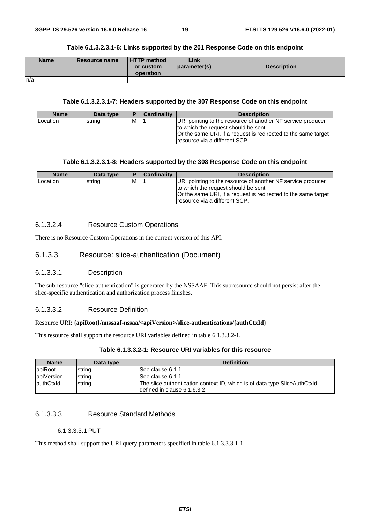| <b>Name</b> | <b>Resource name</b> | <b>HTTP</b> method<br>or custom<br>operation | Link<br>parameter(s) | <b>Description</b> |
|-------------|----------------------|----------------------------------------------|----------------------|--------------------|
| n/a         |                      |                                              |                      |                    |

#### **Table 6.1.3.2.3.1-6: Links supported by the 201 Response Code on this endpoint**

#### **Table 6.1.3.2.3.1-7: Headers supported by the 307 Response Code on this endpoint**

| <b>Name</b> | Data type | E | <b>Cardinality</b> | <b>Description</b>                                                                                                                                                                                     |
|-------------|-----------|---|--------------------|--------------------------------------------------------------------------------------------------------------------------------------------------------------------------------------------------------|
| Location    | string    | M |                    | URI pointing to the resource of another NF service producer<br>to which the request should be sent.<br>Or the same URI, if a request is redirected to the same target<br>resource via a different SCP. |

#### **Table 6.1.3.2.3.1-8: Headers supported by the 308 Response Code on this endpoint**

| <b>Name</b>     | Data type |   | <b>Cardinality</b> | <b>Description</b>                                                                                                                                                                                      |
|-----------------|-----------|---|--------------------|---------------------------------------------------------------------------------------------------------------------------------------------------------------------------------------------------------|
| <b>Location</b> | string    | M |                    | URI pointing to the resource of another NF service producer<br>to which the request should be sent.<br>Or the same URI, if a request is redirected to the same target<br>Iresource via a different SCP. |

#### 6.1.3.2.4 Resource Custom Operations

There is no Resource Custom Operations in the current version of this API.

#### 6.1.3.3 Resource: slice-authentication (Document)

#### 6.1.3.3.1 Description

The sub-resource "slice-authentication" is generated by the NSSAAF. This subresource should not persist after the slice-specific authentication and authorization process finishes.

#### 6.1.3.3.2 Resource Definition

#### Resource URI: **{apiRoot}/nnssaaf-nssaa/<apiVersion>/slice-authentications/{authCtxId}**

This resource shall support the resource URI variables defined in table 6.1.3.3.2-1.

#### **Table 6.1.3.3.2-1: Resource URI variables for this resource**

| <b>Name</b> | Data type | <b>Definition</b>                                                         |  |  |  |
|-------------|-----------|---------------------------------------------------------------------------|--|--|--|
| lapiRoot    | string    | See clause 6.1.1                                                          |  |  |  |
| apiVersion  | string    | ISee clause 6.1.1                                                         |  |  |  |
| lauthCtxld  | string    | The slice authentication context ID, which is of data type SliceAuthCtxId |  |  |  |
|             |           | Idefined in clause 6.1.6.3.2.                                             |  |  |  |

#### 6.1.3.3.3 Resource Standard Methods

#### 6.1.3.3.3.1 PUT

This method shall support the URI query parameters specified in table 6.1.3.3.3.1-1.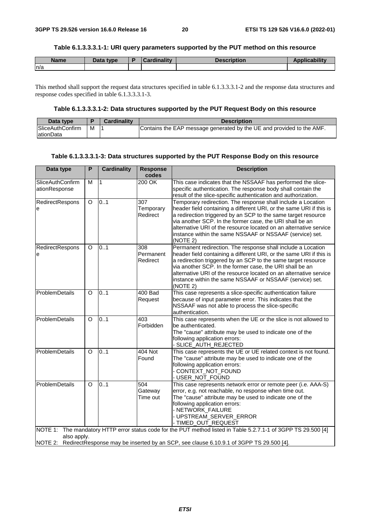#### **Table 6.1.3.3.3.1-1: URI query parameters supported by the PUT method on this resource**

| <b>Name</b> | Data type | <b>Cardinality</b> | <b>Description</b> | <b>Applicability</b> |
|-------------|-----------|--------------------|--------------------|----------------------|
| n/a         |           |                    |                    |                      |

This method shall support the request data structures specified in table 6.1.3.3.3.1-2 and the response data structures and response codes specified in table 6.1.3.3.3.1-3.

#### **Table 6.1.3.3.3.1-2: Data structures supported by the PUT Request Body on this resource**

| Data type               |   | <b>Cardinality</b> | <b>Description</b>                                                    |
|-------------------------|---|--------------------|-----------------------------------------------------------------------|
| <b>SliceAuthConfirm</b> | м |                    | Contains the EAP message generated by the UE and provided to the AMF. |
| lationData              |   |                    |                                                                       |

#### **Table 6.1.3.3.3.1-3: Data structures supported by the PUT Response Body on this resource**

| Data type                         | P        | <b>Cardinality</b> | <b>Response</b><br>codes                  | <b>Description</b>                                                                                                                                                                                                                                                                                                                                                                                            |
|-----------------------------------|----------|--------------------|-------------------------------------------|---------------------------------------------------------------------------------------------------------------------------------------------------------------------------------------------------------------------------------------------------------------------------------------------------------------------------------------------------------------------------------------------------------------|
| SliceAuthConfirm<br>ationResponse | M        | $\mathbf{1}$       | 200 OK                                    | This case indicates that the NSSAAF has performed the slice-<br>specific authentication. The response body shall contain the<br>result of the slice-specific authentication and authorization.                                                                                                                                                                                                                |
| RedirectRespons<br>e              | $\circ$  | 0.1                | $\overline{307}$<br>Temporary<br>Redirect | Temporary redirection. The response shall include a Location<br>header field containing a different URI, or the same URI if this is<br>a redirection triggered by an SCP to the same target resource<br>via another SCP. In the former case, the URI shall be an<br>alternative URI of the resource located on an alternative service<br>instance within the same NSSAAF or NSSAAF (service) set.<br>(NOTE 2) |
| RedirectRespons<br>e              | $\circ$  | 0.1                | 308<br>Permanent<br>Redirect              | Permanent redirection. The response shall include a Location<br>header field containing a different URI, or the same URI if this is<br>a redirection triggered by an SCP to the same target resource<br>via another SCP. In the former case, the URI shall be an<br>alternative URI of the resource located on an alternative service<br>instance within the same NSSAAF or NSSAAF (service) set.<br>(NOTE 2) |
| ProblemDetails                    | $\circ$  | 0.1                | 400 Bad<br>Request                        | This case represents a slice-specific authentication failure<br>because of input parameter error. This indicates that the<br>NSSAAF was not able to process the slice-specific<br>authentication.                                                                                                                                                                                                             |
| ProblemDetails                    | $\Omega$ | 0.1                | 403<br>Forbidden                          | This case represents when the UE or the slice is not allowed to<br>be authenticated.<br>The "cause" attribute may be used to indicate one of the<br>following application errors:<br>- SLICE_AUTH_REJECTED                                                                                                                                                                                                    |
| ProblemDetails                    | $\circ$  | 0.1                | 404 Not<br>Found                          | This case represents the UE or UE related context is not found.<br>The "cause" attribute may be used to indicate one of the<br>following application errors:<br>- CONTEXT_NOT_FOUND<br>- USER_NOT_FOUND                                                                                                                                                                                                       |
| ProblemDetails                    | $\circ$  | 01                 | 504<br>Gateway<br>Time out                | This case represents network error or remote peer (i.e. AAA-S)<br>error, e.g. not reachable, no response when time out.<br>The "cause" attribute may be used to indicate one of the<br>following application errors:<br>- NETWORK FAILURE<br>- UPSTREAM_SERVER_ERROR<br>- TIMED_OUT_REQUEST                                                                                                                   |
| also apply.                       |          |                    |                                           | NOTE 1: The mandatory HTTP error status code for the PUT method listed in Table 5.2.7.1-1 of 3GPP TS 29.500 [4]<br>NOTE 2: RedirectResponse may be inserted by an SCP, see clause 6.10.9.1 of 3GPP TS 29.500 [4].                                                                                                                                                                                             |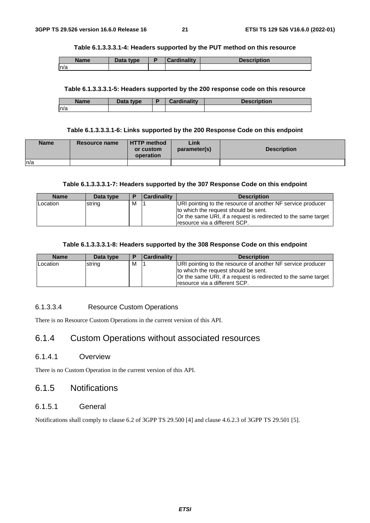#### **Table 6.1.3.3.3.1-4: Headers supported by the PUT method on this resource**

| <b>Name</b> | Data type | <b>Cardinality</b> | <b>Description</b> |
|-------------|-----------|--------------------|--------------------|
| In/a        |           |                    |                    |

#### **Table 6.1.3.3.3.1-5: Headers supported by the 200 response code on this resource**

| <b>Name</b> | Data type | ь | <b>Cardinality</b> | <b>Description</b> |
|-------------|-----------|---|--------------------|--------------------|
| ln/a        |           |   |                    |                    |

#### **Table 6.1.3.3.3.1-6: Links supported by the 200 Response Code on this endpoint**

| <b>Name</b> | Resource name | <b>HTTP</b> method<br>or custom<br>operation | ∟ink<br>parameter(s) | <b>Description</b> |
|-------------|---------------|----------------------------------------------|----------------------|--------------------|
| In/a        |               |                                              |                      |                    |

#### **Table 6.1.3.3.3.1-7: Headers supported by the 307 Response Code on this endpoint**

| <b>Name</b> | Data type | Ð | <b>Cardinality</b> | <b>Description</b>                                                                                                                                                                                      |
|-------------|-----------|---|--------------------|---------------------------------------------------------------------------------------------------------------------------------------------------------------------------------------------------------|
| Location    | string    | M |                    | URI pointing to the resource of another NF service producer<br>to which the request should be sent.<br>Or the same URI, if a request is redirected to the same target<br>Iresource via a different SCP. |

#### **Table 6.1.3.3.3.1-8: Headers supported by the 308 Response Code on this endpoint**

| <b>Name</b> | Data type | Ð | <b>Cardinality</b> | <b>Description</b>                                                                                                                                                                                      |
|-------------|-----------|---|--------------------|---------------------------------------------------------------------------------------------------------------------------------------------------------------------------------------------------------|
| Location    | string    | м |                    | URI pointing to the resource of another NF service producer<br>to which the request should be sent.<br>Or the same URI, if a request is redirected to the same target<br>Iresource via a different SCP. |

#### 6.1.3.3.4 Resource Custom Operations

There is no Resource Custom Operations in the current version of this API.

# 6.1.4 Custom Operations without associated resources

#### 6.1.4.1 Overview

There is no Custom Operation in the current version of this API.

### 6.1.5 Notifications

#### 6.1.5.1 General

Notifications shall comply to clause 6.2 of 3GPP TS 29.500 [4] and clause 4.6.2.3 of 3GPP TS 29.501 [5].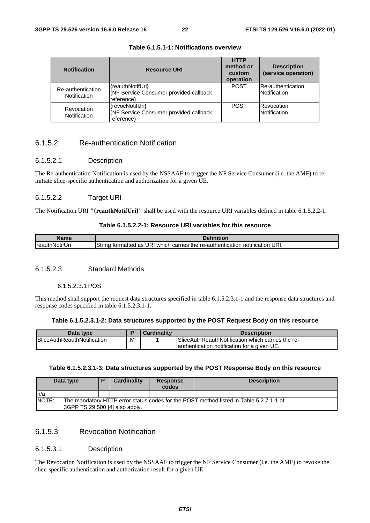| <b>Notification</b>               | <b>Resource URI</b>                                                      | <b>HTTP</b><br>method or<br>custom<br>operation | <b>Description</b><br>(service operation) |
|-----------------------------------|--------------------------------------------------------------------------|-------------------------------------------------|-------------------------------------------|
| Re-authentication<br>Notification | {reauthNotifUri}<br>(NF Service Consumer provided callback<br>reference) | <b>POST</b>                                     | Re-authentication<br>Notification         |
| Revocation<br>Notification        | {revocNotifUri}<br>(NF Service Consumer provided callback<br>reference)  | <b>POST</b>                                     | Revocation<br>Notification                |

#### **Table 6.1.5.1-1: Notifications overview**

### 6.1.5.2 Re-authentication Notification

#### 6.1.5.2.1 Description

The Re-authentication Notification is used by the NSSAAF to trigger the NF Service Consumer (i.e. the AMF) to reinitiate slice-specific authentication and authorization for a given UE.

#### 6.1.5.2.2 Target URI

The Notification URI **"{reauthNotifUri}"** shall be used with the resource URI variables defined in table 6.1.5.2.2-1.

#### **Table 6.1.5.2.2-1: Resource URI variables for this resource**

| Name                           | .                                                                                                       |
|--------------------------------|---------------------------------------------------------------------------------------------------------|
| .<br>hNotifUri<br><b>Ireau</b> | ≅URI.<br>URI<br>) carries the<br>re-authentication<br>which<br>tormatted as<br>notification<br>∵ trinoٽ |

#### 6.1.5.2.3 Standard Methods

#### 6.1.5.2.3.1 POST

This method shall support the request data structures specified in table 6.1.5.2.3.1-1 and the response data structures and response codes specified in table 6.1.5.2.3.1-1.

#### **Table 6.1.5.2.3.1-2: Data structures supported by the POST Request Body on this resource**

| Data type                           |   | <b>Cardinality</b> | <b>Description</b>                                       |
|-------------------------------------|---|--------------------|----------------------------------------------------------|
| <b>ISliceAuthReauthNotification</b> | M |                    | <b>SliceAuthReauthNotification which carries the re-</b> |
|                                     |   |                    | lauthentication notification for a given UE.             |

#### **Table 6.1.5.2.3.1-3: Data structures supported by the POST Response Body on this resource**

|       | Data type                                                                                                                |  | Cardinality | <b>Response</b><br>codes | <b>Description</b> |  |
|-------|--------------------------------------------------------------------------------------------------------------------------|--|-------------|--------------------------|--------------------|--|
| In/a  |                                                                                                                          |  |             |                          |                    |  |
| NOTE: | The mandatory HTTP error status codes for the POST method listed in Table 5.2.7.1-1 of<br>3GPP TS 29.500 [4] also apply. |  |             |                          |                    |  |

### 6.1.5.3 Revocation Notification

#### 6.1.5.3.1 Description

The Revocation Notification is used by the NSSAAF to trigger the NF Service Consumer (i.e. the AMF) to revoke the slice-specific authentication and authorization result for a given UE.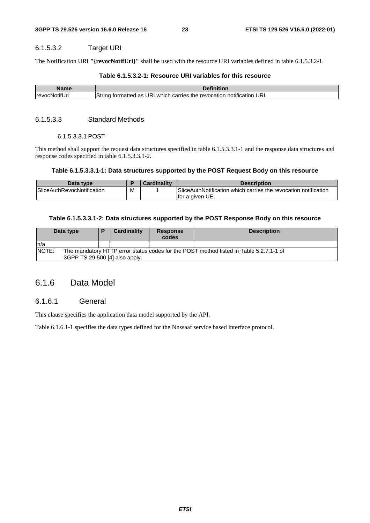#### 6.1.5.3.2 Target URI

The Notification URI **"{revocNotifUri}"** shall be used with the resource URI variables defined in table 6.1.5.3.2-1.

#### **Table 6.1.5.3.2-1: Resource URI variables for this resource**

| Name                  | Definition                                                                                           |
|-----------------------|------------------------------------------------------------------------------------------------------|
| <b>IrevocNotifUri</b> | URI.<br>String<br>' JR'<br>carries<br>which<br>revocation<br>tormatted<br>the<br>notification<br>as. |

#### 6.1.5.3.3 Standard Methods

#### 6.1.5.3.3.1 POST

This method shall support the request data structures specified in table 6.1.5.3.3.1-1 and the response data structures and response codes specified in table 6.1.5.3.3.1-2.

#### **Table 6.1.5.3.3.1-1: Data structures supported by the POST Request Body on this resource**

| Data type                         |   | <b>Cardinality</b> | <b>Description</b>                                              |
|-----------------------------------|---|--------------------|-----------------------------------------------------------------|
| <b>SliceAuthRevocNotification</b> | М |                    | SliceAuthNotification which carries the revocation notification |
|                                   |   |                    | lfor a given UE.                                                |

#### **Table 6.1.5.3.3.1-2: Data structures supported by the POST Response Body on this resource**

|              | Data type                                                                                                                | Ð | Cardinality | <b>Response</b><br>codes | <b>Description</b> |  |
|--------------|--------------------------------------------------------------------------------------------------------------------------|---|-------------|--------------------------|--------------------|--|
| ln/a         |                                                                                                                          |   |             |                          |                    |  |
| <b>NOTE:</b> | The mandatory HTTP error status codes for the POST method listed in Table 5.2.7.1-1 of<br>3GPP TS 29.500 [4] also apply. |   |             |                          |                    |  |

# 6.1.6 Data Model

#### 6.1.6.1 General

This clause specifies the application data model supported by the API.

Table 6.1.6.1-1 specifies the data types defined for the Nnssaaf service based interface protocol.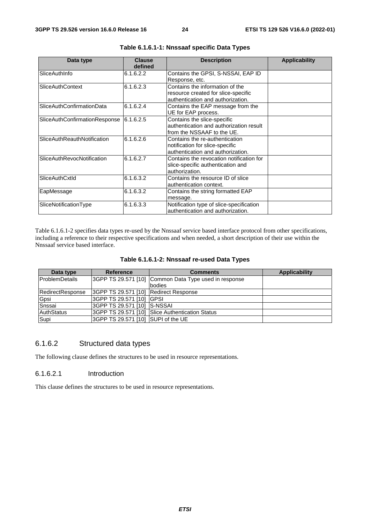| Data type                         | <b>Clause</b><br>defined | <b>Description</b>                       | <b>Applicability</b> |
|-----------------------------------|--------------------------|------------------------------------------|----------------------|
| SliceAuthInfo                     | 6.1.6.2.2                | Contains the GPSI, S-NSSAI, EAP ID       |                      |
|                                   |                          | Response, etc.                           |                      |
| <b>SliceAuthContext</b>           | 6.1.6.2.3                | Contains the information of the          |                      |
|                                   |                          | resource created for slice-specific      |                      |
|                                   |                          | authentication and authorization.        |                      |
| SliceAuthConfirmationData         | 6.1.6.2.4                | Contains the EAP message from the        |                      |
|                                   |                          | UE for EAP process.                      |                      |
| SliceAuthConfirmationResponse     | 6.1.6.2.5                | Contains the slice-specific              |                      |
|                                   |                          | authentication and authorization result  |                      |
|                                   |                          | lfrom the NSSAAF to the UE.              |                      |
| SliceAuthReauthNotification       | 6.1.6.2.6                | Contains the re-authentication           |                      |
|                                   |                          | notification for slice-specific          |                      |
|                                   |                          | authentication and authorization.        |                      |
| <b>SliceAuthRevocNotification</b> | 6.1.6.2.7                | Contains the revocation notification for |                      |
|                                   |                          | slice-specific authentication and        |                      |
|                                   |                          | authorization.                           |                      |
| SliceAuthCxtld                    | 6.1.6.3.2                | Contains the resource ID of slice        |                      |
|                                   |                          | authentication context.                  |                      |
| EapMessage                        | 6.1.6.3.2                | Contains the string formatted EAP        |                      |
|                                   |                          | message.                                 |                      |
| SliceNotificationType             | 6.1.6.3.3                | Notification type of slice-specification |                      |
|                                   |                          | authentication and authorization.        |                      |

#### **Table 6.1.6.1-1: Nnssaaf specific Data Types**

Table 6.1.6.1-2 specifies data types re-used by the Nnssaaf service based interface protocol from other specifications, including a reference to their respective specifications and when needed, a short description of their use within the Nnssaaf service based interface.

| Table 6.1.6.1-2: Nnssaaf re-used Data Types |  |  |  |  |
|---------------------------------------------|--|--|--|--|
|---------------------------------------------|--|--|--|--|

| Data type             | <b>Reference</b>                      | <b>Comments</b>                                       | Applicability |
|-----------------------|---------------------------------------|-------------------------------------------------------|---------------|
| <b>ProblemDetails</b> |                                       | 3GPP TS 29.571 [10] Common Data Type used in response |               |
|                       |                                       | bodies                                                |               |
| RedirectResponse      | 3GPP TS 29.571 [10] Redirect Response |                                                       |               |
| Gpsi                  | I3GPP TS 29.571 [10] IGPSI            |                                                       |               |
| Snssai                | 3GPP TS 29.571 [10] S-NSSAI           |                                                       |               |
| AuthStatus            |                                       | 3GPP TS 29.571 [10] Slice Authentication Status       |               |
| Supi                  | 3GPP TS 29.571 [10] SUPI of the UE    |                                                       |               |

#### 6.1.6.2 Structured data types

The following clause defines the structures to be used in resource representations.

#### 6.1.6.2.1 Introduction

This clause defines the structures to be used in resource representations.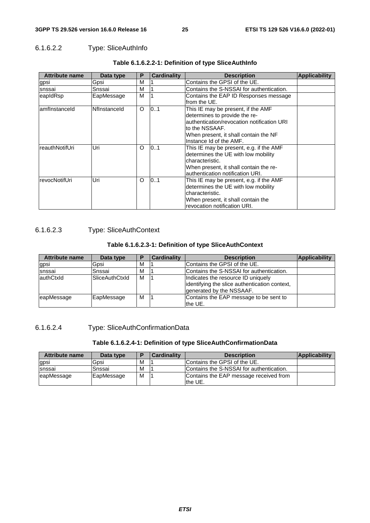### 6.1.6.2.2 Type: SliceAuthInfo

| <b>Attribute name</b> | Data type    | Р | <b>Cardinality</b> | <b>Description</b>                                                                                                                                                                                       | <b>Applicability</b> |
|-----------------------|--------------|---|--------------------|----------------------------------------------------------------------------------------------------------------------------------------------------------------------------------------------------------|----------------------|
| igpsi                 | Gpsi         | M |                    | Contains the GPSI of the UE.                                                                                                                                                                             |                      |
| snssai                | Snssai       | М |                    | Contains the S-NSSAI for authentication.                                                                                                                                                                 |                      |
| eapIdRsp              | EapMessage   | М |                    | Contains the EAP ID Responses message<br>lfrom the UE.                                                                                                                                                   |                      |
| amfinstanceld         | Nflnstanceld | O | 101                | This IE may be present, if the AMF<br>determines to provide the re-<br>authentication/revocation notification URI<br>lto the NSSAAF.<br>When present, it shall contain the NF<br>Instance Id of the AMF. |                      |
| reauthNotifUri        | Uri          | O | 0.1                | This IE may be present, e.g. if the AMF<br>determines the UE with low mobility<br>characteristic.<br>When present, it shall contain the re-<br>authentication notification URI.                          |                      |
| revocNotifUri         | Uri          | O | 0.1                | This IE may be present, e.g. if the AMF<br>determines the UE with low mobility<br>characteristic.<br>When present, it shall contain the<br>revocation notification URI.                                  |                      |

#### **Table 6.1.6.2.2-1: Definition of type SliceAuthInfo**

#### 6.1.6.2.3 Type: SliceAuthContext

#### **Table 6.1.6.2.3-1: Definition of type SliceAuthContext**

| <b>Attribute name</b> | Data type             |   | Cardinality | <b>Description</b>                                                                                              | <b>Applicability</b> |
|-----------------------|-----------------------|---|-------------|-----------------------------------------------------------------------------------------------------------------|----------------------|
| gpsi                  | Gpsi                  | м |             | Contains the GPSI of the UE.                                                                                    |                      |
| snssai                | Snssai                | M |             | Contains the S-NSSAI for authentication.                                                                        |                      |
| lauthCtxld            | <b>SliceAuthCtxId</b> | м |             | Indicates the resource ID uniquely<br>identifying the slice authentication context,<br>generated by the NSSAAF. |                      |
| leapMessage           | EapMessage            | М |             | Contains the EAP message to be sent to<br>the UE.                                                               |                      |

### 6.1.6.2.4 Type: SliceAuthConfirmationData

#### **Table 6.1.6.2.4-1: Definition of type SliceAuthConfirmationData**

| <b>Attribute name</b> | Data type  | n | <b>Cardinality</b> | <b>Description</b>                                | Applicability |
|-----------------------|------------|---|--------------------|---------------------------------------------------|---------------|
| gpsi                  | Gpsi       | M |                    | Contains the GPSI of the UE.                      |               |
| Isnssai               | Snssai     | M |                    | Contains the S-NSSAI for authentication.          |               |
| eapMessage            | EapMessage | м |                    | Contains the EAP message received from<br>the UE. |               |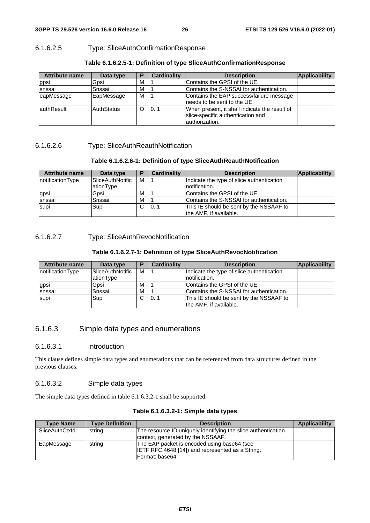### 6.1.6.2.5 Type: SliceAuthConfirmationResponse

| <b>Attribute name</b> | Data type         |   | <b>Cardinality</b> | <b>Description</b>                                                                                    | Applicability |
|-----------------------|-------------------|---|--------------------|-------------------------------------------------------------------------------------------------------|---------------|
| gpsi                  | Gpsi              | М |                    | Contains the GPSI of the UE.                                                                          |               |
| snssai                | Snssai            | M |                    | Contains the S-NSSAI for authentication.                                                              |               |
| eapMessage            | EapMessage        | М |                    | Contains the EAP success/failure message<br>lneeds to be sent to the UE.                              |               |
| lauthResult           | <b>AuthStatus</b> | O | 101                | When present, it shall indicate the result of<br>slice-specific authentication and<br>lauthorization. |               |

#### **Table 6.1.6.2.5-1: Definition of type SliceAuthConfirmationResponse**

### 6.1.6.2.6 Type: SliceAuthReauthNotification

### **Table 6.1.6.2.6-1: Definition of type SliceAuthReauthNotification**

| <b>Attribute name</b> | Data type               | D | <b>Cardinality</b> | <b>Description</b>                        | Applicability |
|-----------------------|-------------------------|---|--------------------|-------------------------------------------|---------------|
| notificationType      | <b>SliceAuthNotific</b> | м |                    | Indicate the type of slice authentication |               |
|                       | ationType               |   |                    | Inotification.                            |               |
| gpsi                  | Gpsi                    | М |                    | Contains the GPSI of the UE.              |               |
| snssai                | Snssai                  | м |                    | Contains the S-NSSAI for authentication.  |               |
| supi                  | Supi                    | C | 101                | This IE should be sent by the NSSAAF to   |               |
|                       |                         |   |                    | the AMF, if available.                    |               |

### 6.1.6.2.7 Type: SliceAuthRevocNotification

### **Table 6.1.6.2.7-1: Definition of type SliceAuthRevocNotification**

| <b>Attribute name</b> | Data type                            |   | <b>Cardinality</b> | <b>Description</b>                                                | <b>Applicability</b> |
|-----------------------|--------------------------------------|---|--------------------|-------------------------------------------------------------------|----------------------|
| notificationType      | <b>SliceAuthNotific</b><br>ationType | м |                    | Indicate the type of slice authentication<br>Inotification.       |                      |
| gpsi                  | Gpsi                                 | M |                    | Contains the GPSI of the UE.                                      |                      |
| snssai                | Snssai                               | M |                    | Contains the S-NSSAI for authentication.                          |                      |
| supi                  | Supi                                 | C | 101                | This IE should be sent by the NSSAAF to<br>the AMF. if available. |                      |

# 6.1.6.3 Simple data types and enumerations

### 6.1.6.3.1 Introduction

This clause defines simple data types and enumerations that can be referenced from data structures defined in the previous clauses.

### 6.1.6.3.2 Simple data types

The simple data types defined in table 6.1.6.3.2-1 shall be supported.

| <b>Type Name</b> | <b>Type Definition</b> | <b>Description</b>                                            | <b>Applicability</b> |
|------------------|------------------------|---------------------------------------------------------------|----------------------|
| SliceAuthCtxId   | string                 | The resource ID uniquely identifying the slice authentication |                      |
|                  |                        | context, generated by the NSSAAF.                             |                      |
| EapMessage       | string                 | The EAP packet is encoded using base64 (see                   |                      |
|                  |                        | IETF RFC 4648 [14]) and represented as a String.              |                      |
|                  |                        | Format: base64                                                |                      |

#### **Table 6.1.6.3.2-1: Simple data types**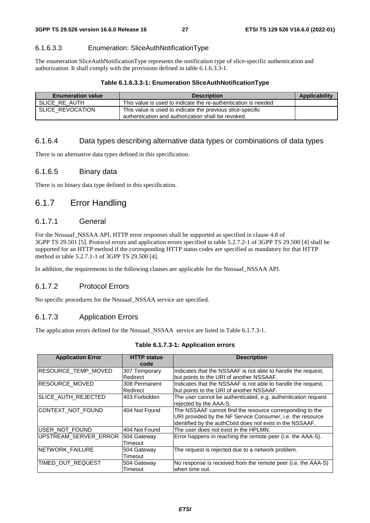#### 6.1.6.3.3 Enumeration: SliceAuthNotificationType

The enumeration SliceAuthNotificationType represents the notification type of slice-specific authentication and authorization. It shall comply with the provisions defined in table 6.1.6.3.3-1.

| Table 6.1.6.3.3-1: Enumeration SliceAuthNotificationType |  |  |  |  |  |
|----------------------------------------------------------|--|--|--|--|--|
|----------------------------------------------------------|--|--|--|--|--|

| <b>Enumeration value</b> | <b>Description</b>                                                                                               | <b>Applicability</b> |
|--------------------------|------------------------------------------------------------------------------------------------------------------|----------------------|
| SLICE RE AUTH            | This value is used to indicate the re-authentication is needed                                                   |                      |
| SLICE REVOCATION         | This value is used to indicate the previous slice-specific<br>authentication and authorization shall be revoked. |                      |

#### 6.1.6.4 Data types describing alternative data types or combinations of data types

There is no alternative data types defined in this specification.

#### 6.1.6.5 Binary data

There is no binary data type defined in this specification.

# 6.1.7 Error Handling

#### 6.1.7.1 General

For the Nnssaaf NSSAA API, HTTP error responses shall be supported as specified in clause 4.8 of 3GPP TS 29.501 [5]. Protocol errors and application errors specified in table 5.2.7.2-1 of 3GPP TS 29.500 [4] shall be supported for an HTTP method if the corresponding HTTP status codes are specified as mandatory for that HTTP method in table 5.2.7.1-1 of 3GPP TS 29.500 [4].

In addition, the requirements in the following clauses are applicable for the Nnssaaf NSSAA API.

#### 6.1.7.2 Protocol Errors

No specific procedures for the Nnssaaf\_NSSAA service are specified.

#### 6.1.7.3 Application Errors

The application errors defined for the Nnssaaf\_NSSAA service are listed in Table 6.1.7.3-1.

| <b>Application Error</b>   | <b>HTTP status</b><br>code | <b>Description</b>                                                                                                                                                                  |
|----------------------------|----------------------------|-------------------------------------------------------------------------------------------------------------------------------------------------------------------------------------|
| <b>RESOURCE TEMP MOVED</b> | 307 Temporary<br>Redirect  | Indicates that the NSSAAF is not able to handle the request,<br>but points to the URI of another NSSAAF.                                                                            |
| RESOURCE_MOVED             | 308 Permanent<br>Redirect  | Indicates that the NSSAAF is not able to handle the request,<br>but points to the URI of another NSSAAF.                                                                            |
| SLICE AUTH REJECTED        | 1403 Forbidden             | The user cannot be authenticated, e.g. authentication request<br>rejected by the AAA-S.                                                                                             |
| CONTEXT_NOT_FOUND          | 404 Not Found              | The NSSAAF cannot find the resource corresponding to the<br>URI provided by the NF Service Consumer, i.e. the resource<br>identified by the authCtxId does not exist in the NSSAAF. |
| USER NOT FOUND             | 404 Not Found              | The user does not exist in the HPLMN.                                                                                                                                               |
| UPSTREAM SERVER ERROR      | 504 Gateway<br>Timeout     | Error happens in reaching the remote peer (i.e. the AAA-S).                                                                                                                         |
| <b>INETWORK FAILURE</b>    | 504 Gateway<br>Timeout     | The request is rejected due to a network problem.                                                                                                                                   |
| TIMED OUT REQUEST          | 504 Gateway<br>Timeout     | No response is received from the remote peer (i.e. the AAA-S)<br>when time out.                                                                                                     |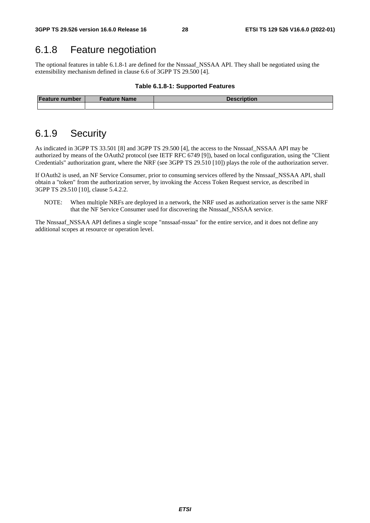# 6.1.8 Feature negotiation

The optional features in table 6.1.8-1 are defined for the Nnssaaf\_NSSAA API. They shall be negotiated using the extensibility mechanism defined in clause 6.6 of 3GPP TS 29.500 [4].

#### **Table 6.1.8-1: Supported Features**

| <b>Feature number</b> | Feature Name | <b>Description</b> |
|-----------------------|--------------|--------------------|
|                       |              |                    |

# 6.1.9 Security

As indicated in 3GPP TS 33.501 [8] and 3GPP TS 29.500 [4], the access to the Nnssaaf\_NSSAA API may be authorized by means of the OAuth2 protocol (see IETF RFC 6749 [9]), based on local configuration, using the "Client Credentials" authorization grant, where the NRF (see 3GPP TS 29.510 [10]) plays the role of the authorization server.

If OAuth2 is used, an NF Service Consumer, prior to consuming services offered by the Nnssaaf\_NSSAA API, shall obtain a "token" from the authorization server, by invoking the Access Token Request service, as described in 3GPP TS 29.510 [10], clause 5.4.2.2.

NOTE: When multiple NRFs are deployed in a network, the NRF used as authorization server is the same NRF that the NF Service Consumer used for discovering the Nnssaaf\_NSSAA service.

The Nnssaaf NSSAA API defines a single scope "nnssaaf-nssaa" for the entire service, and it does not define any additional scopes at resource or operation level.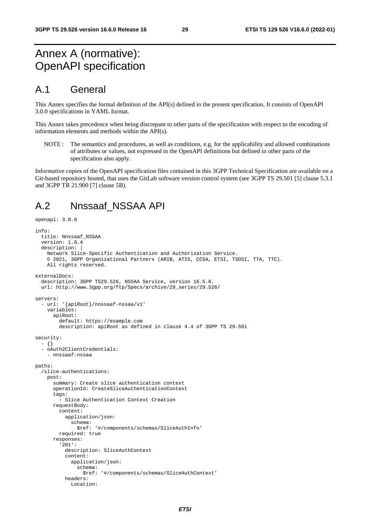# Annex A (normative): OpenAPI specification

# A.1 General

This Annex specifies the formal definition of the API(s) defined in the present specification. It consists of OpenAPI 3.0.0 specifications in YAML format.

This Annex takes precedence when being discrepant to other parts of the specification with respect to the encoding of information elements and methods within the API(s).

NOTE : The semantics and procedures, as well as conditions, e.g. for the applicability and allowed combinations of attributes or values, not expressed in the OpenAPI definitions but defined in other parts of the specification also apply.

Informative copies of the OpenAPI specification files contained in this 3GPP Technical Specification are available on a Git-based repository hosted, that uses the GitLab software version control system (see 3GPP TS 29.501 [5] clause 5.3.1 and 3GPP TR 21.900 [7] clause 5B).

# A.2 Nnssaaf\_NSSAA API

```
openapi: 3.0.0 
info: 
   title: Nnssaaf_NSSAA 
   version: 1.0.4 
   description: | 
     Network Slice-Specific Authentication and Authorization Service. 
     © 2021, 3GPP Organizational Partners (ARIB, ATIS, CCSA, ETSI, TSDSI, TTA, TTC). 
     All rights reserved. 
externalDocs: 
   description: 3GPP TS29.526, NSSAA Service, version 16.5.0. 
   url: http://www.3gpp.org/ftp/Specs/archive/29_series/29.526/ 
servers: 
   - url: '{apiRoot}/nnssaaf-nssaa/v1' 
     variables: 
       apiRoot: 
         default: https://example.com 
         description: apiRoot as defined in clause 4.4 of 3GPP TS 29.501 
security: 
  - \{ \} - oAuth2ClientCredentials: 
     - nnssaaf-nssaa 
paths: 
   /slice-authentications: 
     post: 
       summary: Create slice authentication context 
       operationId: CreateSliceAuthenticationContext 
       tags: 
          - Slice Authentication Context Creation 
       requestBody: 
         content: 
           application/json: 
              schema: 
                $ref: '#/components/schemas/SliceAuthInfo' 
         required: true 
       responses: 
          '201': 
           description: SliceAuthContext 
            content: 
              application/json: 
                schema: 
                 $ref: '#/components/schemas/SliceAuthContext' 
           headers: 
              Location:
```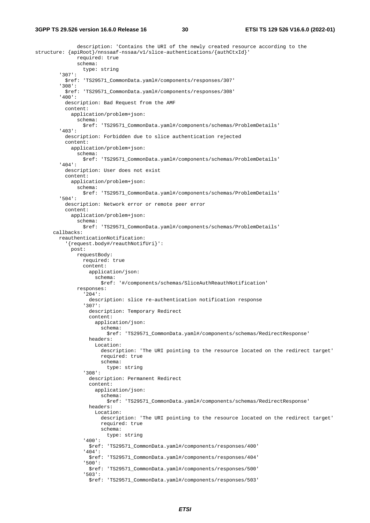description: 'Contains the URI of the newly created resource according to the structure: {apiRoot}/nnssaaf-nssaa/v1/slice-authentications/{authCtxId}' required: true schema: type: string '307': \$ref: 'TS29571\_CommonData.yaml#/components/responses/307' '308': \$ref: 'TS29571\_CommonData.yaml#/components/responses/308' '400': description: Bad Request from the AMF content: application/problem+json: schema: \$ref: 'TS29571\_CommonData.yaml#/components/schemas/ProblemDetails' '403': description: Forbidden due to slice authentication rejected content: application/problem+json: schema: \$ref: 'TS29571\_CommonData.yaml#/components/schemas/ProblemDetails' '404': description: User does not exist content: application/problem+json: schema: \$ref: 'TS29571\_CommonData.yaml#/components/schemas/ProblemDetails' '504': description: Network error or remote peer error content: application/problem+json: schema: \$ref: 'TS29571\_CommonData.yaml#/components/schemas/ProblemDetails' callbacks: reauthenticationNotification: '{request.body#/reauthNotifUri}': post: requestBody: required: true content: application/json: schema: \$ref: '#/components/schemas/SliceAuthReauthNotification' responses: '204': description: slice re-authentication notification response '307': description: Temporary Redirect content: application/json: schema: \$ref: 'TS29571\_CommonData.yaml#/components/schemas/RedirectResponse' headers: Location: description: 'The URI pointing to the resource located on the redirect target' required: true schema: type: string '308': description: Permanent Redirect content: application/json: schema: \$ref: 'TS29571\_CommonData.yaml#/components/schemas/RedirectResponse' headers: Location: description: 'The URI pointing to the resource located on the redirect target' required: true schema: type: string '400': \$ref: 'TS29571\_CommonData.yaml#/components/responses/400' '404': \$ref: 'TS29571\_CommonData.yaml#/components/responses/404' '500': \$ref: 'TS29571\_CommonData.yaml#/components/responses/500' '503': \$ref: 'TS29571\_CommonData.yaml#/components/responses/503'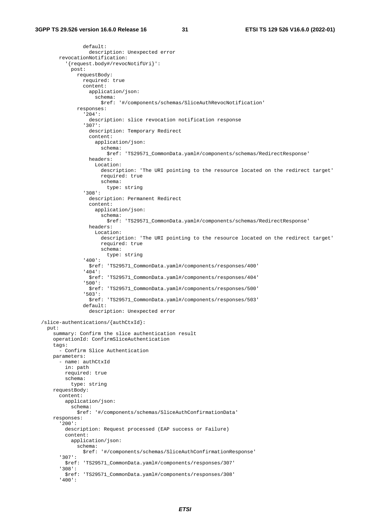```
 default: 
                  description: Unexpected error 
       revocationNotification: 
          '{request.body#/revocNotifUri}': 
           post: 
              requestBody: 
                required: true 
                content: 
                  application/json: 
                    schema: 
                     $ref: '#/components/schemas/SliceAuthRevocNotification' 
              responses: 
                '204': 
                  description: slice revocation notification response 
                '307': 
                  description: Temporary Redirect 
                  content: 
                    application/json: 
                      schema: 
                        $ref: 'TS29571_CommonData.yaml#/components/schemas/RedirectResponse' 
                  headers: 
                    Location: 
                      description: 'The URI pointing to the resource located on the redirect target' 
                      required: true 
                      schema: 
                        type: string 
                '308': 
                  description: Permanent Redirect 
                  content: 
                    application/json: 
                      schema: 
                        $ref: 'TS29571_CommonData.yaml#/components/schemas/RedirectResponse' 
                  headers: 
                    Location: 
                      description: 'The URI pointing to the resource located on the redirect target' 
                      required: true 
                      schema: 
                        type: string 
                '400': 
                  $ref: 'TS29571_CommonData.yaml#/components/responses/400' 
                '404': 
                  $ref: 'TS29571_CommonData.yaml#/components/responses/404' 
                '500': 
                  $ref: 'TS29571_CommonData.yaml#/components/responses/500' 
                '503': 
                  $ref: 'TS29571_CommonData.yaml#/components/responses/503' 
                default: 
                  description: Unexpected error 
 /slice-authentications/{authCtxId}: 
  put: 
     summary: Confirm the slice authentication result 
     operationId: ConfirmSliceAuthentication 
     tags: 
       - Confirm Slice Authentication 
     parameters: 
       - name: authCtxId 
         in: path 
         required: true 
         schema: 
           type: string 
     requestBody: 
       content: 
         application/json: 
           schema: 
              $ref: '#/components/schemas/SliceAuthConfirmationData' 
     responses: 
       '200': 
         description: Request processed (EAP success or Failure) 
         content: 
           application/json: 
             schema: 
                $ref: '#/components/schemas/SliceAuthConfirmationResponse' 
       '307': 
         $ref: 'TS29571_CommonData.yaml#/components/responses/307' 
       '308': 
         $ref: 'TS29571_CommonData.yaml#/components/responses/308' 
       '400':
```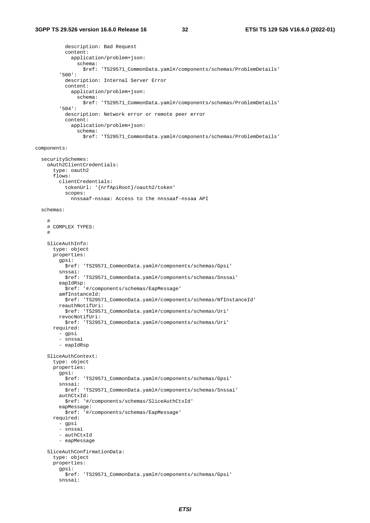description: Bad Request content: application/problem+json: schema: \$ref: 'TS29571\_CommonData.yaml#/components/schemas/ProblemDetails' '500': description: Internal Server Error content: application/problem+json: schema: \$ref: 'TS29571\_CommonData.yaml#/components/schemas/ProblemDetails' '504': description: Network error or remote peer error content: application/problem+json: schema: \$ref: 'TS29571\_CommonData.yaml#/components/schemas/ProblemDetails' components: securitySchemes: oAuth2ClientCredentials: type: oauth2 flows: clientCredentials: tokenUrl: '{nrfApiRoot}/oauth2/token' scopes: nnssaaf-nssaa: Access to the nnssaaf-nssaa API schemas: # # COMPLEX TYPES: # SliceAuthInfo: type: object properties: gpsi: \$ref: 'TS29571\_CommonData.yaml#/components/schemas/Gpsi' snssai: \$ref: 'TS29571\_CommonData.yaml#/components/schemas/Snssai' eapIdRsp: \$ref: '#/components/schemas/EapMessage' amfInstanceId: \$ref: 'TS29571\_CommonData.yaml#/components/schemas/NfInstanceId' reauthNotifUri: \$ref: 'TS29571\_CommonData.yaml#/components/schemas/Uri' revocNotifUri: \$ref: 'TS29571\_CommonData.yaml#/components/schemas/Uri' required: - gpsi - snssai - eapIdRsp SliceAuthContext: type: object properties: gpsi: \$ref: 'TS29571\_CommonData.yaml#/components/schemas/Gpsi' snssai: \$ref: 'TS29571\_CommonData.yaml#/components/schemas/Snssai' authCtxId: \$ref: '#/components/schemas/SliceAuthCtxId' eapMessage: \$ref: '#/components/schemas/EapMessage' required: - gpsi - snssai - authCtxId - eapMessage SliceAuthConfirmationData: type: object properties: gpsi: \$ref: 'TS29571\_CommonData.yaml#/components/schemas/Gpsi' snssai: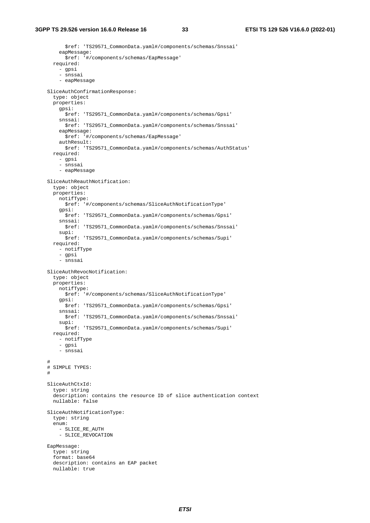\$ref: 'TS29571\_CommonData.yaml#/components/schemas/Snssai' eapMessage: \$ref: '#/components/schemas/EapMessage' required: - gpsi - snssai - eapMessage SliceAuthConfirmationResponse: type: object properties: gpsi: \$ref: 'TS29571\_CommonData.yaml#/components/schemas/Gpsi' snssai: \$ref: 'TS29571\_CommonData.yaml#/components/schemas/Snssai' eapMessage: \$ref: '#/components/schemas/EapMessage' authResult: \$ref: 'TS29571\_CommonData.yaml#/components/schemas/AuthStatus' required: - gpsi - snssai - eapMessage SliceAuthReauthNotification: type: object properties: notifType: \$ref: '#/components/schemas/SliceAuthNotificationType' gpsi: \$ref: 'TS29571\_CommonData.yaml#/components/schemas/Gpsi' snssai: \$ref: 'TS29571\_CommonData.yaml#/components/schemas/Snssai' supi: \$ref: 'TS29571\_CommonData.yaml#/components/schemas/Supi' required: - notifType - gpsi - snssai SliceAuthRevocNotification: type: object properties: notifType: \$ref: '#/components/schemas/SliceAuthNotificationType' gpsi: \$ref: 'TS29571\_CommonData.yaml#/components/schemas/Gpsi' snssai: \$ref: 'TS29571\_CommonData.yaml#/components/schemas/Snssai' supi: \$ref: 'TS29571\_CommonData.yaml#/components/schemas/Supi' required: - notifType - gpsi - snssai # # SIMPLE TYPES: # SliceAuthCtxId: type: string description: contains the resource ID of slice authentication context nullable: false SliceAuthNotificationType: type: string enum: - SLICE RE AUTH - SLICE\_REVOCATION EapMessage: type: string format: base64 description: contains an EAP packet nullable: true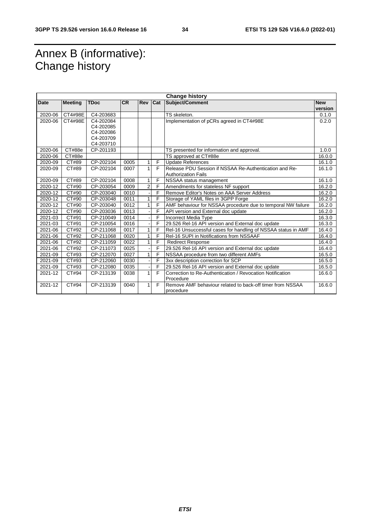# Annex B (informative): Change history

| <b>Change history</b> |                |             |           |                |     |                                                               |            |
|-----------------------|----------------|-------------|-----------|----------------|-----|---------------------------------------------------------------|------------|
| <b>Date</b>           | <b>Meeting</b> | <b>TDoc</b> | <b>CR</b> | Rev            | Cat | Subject/Comment                                               | <b>New</b> |
|                       |                |             |           |                |     |                                                               | version    |
| 2020-06               | CT4#98E        | C4-203683   |           |                |     | TS skeleton.                                                  | 0.1.0      |
| 2020-06               | CT4#98E        | C4-202084   |           |                |     | Implementation of pCRs agreed in CT4#98E                      | 0.2.0      |
|                       |                | C4-202085   |           |                |     |                                                               |            |
|                       |                | C4-202086   |           |                |     |                                                               |            |
|                       |                | C4-203709   |           |                |     |                                                               |            |
|                       |                | C4-203710   |           |                |     |                                                               |            |
| 2020-06               | CT#88e         | CP-201193   |           |                |     | TS presented for information and approval.                    | 1.0.0      |
| 2020-06               | CT#88e         |             |           |                |     | TS approved at CT#88e                                         | 16.0.0     |
| 2020-09               | CT#89          | CP-202104   | 0005      | 1              | F   | <b>Update References</b>                                      | 16.1.0     |
| 2020-09               | CT#89          | CP-202104   | 0007      | 1              | F   | Release PDU Session if NSSAA Re-Authentication and Re-        | 16.1.0     |
|                       |                |             |           |                |     | <b>Authorization Fails</b>                                    |            |
| 2020-09               | CT#89          | CP-202104   | 0008      | 1              | F   | NSSAA status management                                       | 16.1.0     |
| 2020-12               | CT#90          | CP-203054   | 0009      | $\overline{2}$ | F   | Amendments for stateless NF support                           | 16.2.0     |
| 2020-12               | CT#90          | CP-203040   | 0010      |                | F   | Remove Editor's Notes on AAA Server Address                   | 16.2.0     |
| 2020-12               | CT#90          | CP-203048   | 0011      | 1              | F   | Storage of YAML files in 3GPP Forge                           | 16.2.0     |
| 2020-12               | CT#90          | CP-203040   | 0012      | 1              | F   | AMF behaviour for NSSAA procedure due to temporal NW failure  | 16.2.0     |
| 2020-12               | CT#90          | CP-203036   | 0013      |                | F   | API version and External doc update                           | 16.2.0     |
| 2021-03               | CT#91          | CP-210049   | 0014      |                | F   | <b>Incorrect Media Type</b>                                   | 16.3.0     |
| 2021-03               | CT#91          | CP-210054   | 0016      |                | F   | 29.526 Rel-16 API version and External doc update             | 16.3.0     |
| 2021-06               | CT#92          | CP-211068   | 0017      | 1              | F   | Rel-16 Unsuccessful cases for handling of NSSAA status in AMF | 16.4.0     |
| 2021-06               | CT#92          | CP-211068   | 0020      | 1              | F   | Rel-16 SUPI in Notifications from NSSAAF                      | 16.4.0     |
| 2021-06               | CT#92          | CP-211059   | 0022      | 1              | F   | <b>Redirect Response</b>                                      | 16.4.0     |
| 2021-06               | CT#92          | CP-211073   | 0025      |                | F   | 29.526 Rel-16 API version and External doc update             | 16.4.0     |
| 2021-09               | CT#93          | CP-212070   | 0027      | 1              | F   | NSSAA procedure from two different AMFs                       | 16.5.0     |
| 2021-09               | CT#93          | CP-212060   | 0030      |                | F   | 3xx description correction for SCP                            | 16.5.0     |
| 2021-09               | CT#93          | CP-212080   | 0035      |                | F   | 29.526 Rel-16 API version and External doc update             | 16.5.0     |
| 2021-12               | CT#94          | CP-213139   | 0038      | 1              | F   | Correction to Re-Authentication / Revocation Notification     | 16.6.0     |
|                       |                |             |           |                |     | Procedure                                                     |            |
| 2021-12               | CT#94          | CP-213139   | 0040      | 1              | F   | Remove AMF behaviour related to back-off timer from NSSAA     | 16.6.0     |
|                       |                |             |           |                |     | procedure                                                     |            |
|                       |                |             |           |                |     |                                                               |            |